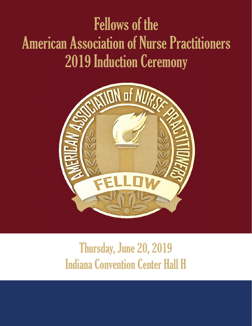# Fellows of the American Association of Nurse Practitioners 2019 Induction Ceremony



## Thursday, June 20, 2019 Indiana Convention Center Hall H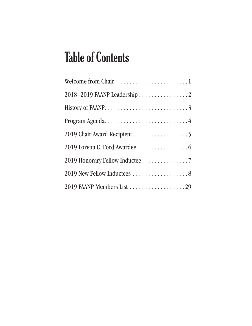## Table of Contents

| 2018-2019 FAANP Leadership 2    |
|---------------------------------|
|                                 |
|                                 |
|                                 |
|                                 |
| 2019 Honorary Fellow Inductee 7 |
|                                 |
|                                 |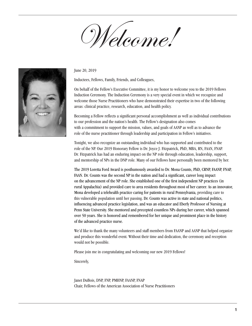Welcome!



June 20, 2019

Inductees, Fellows, Family, Friends, and Colleagues,

On behalf of the Fellow's Executive Committee, it is my honor to welcome you to the 2019 Fellows Induction Ceremony. The Induction Ceremony is a very special event in which we recognize and welcome those Nurse Practitioners who have demonstrated their expertise in two of the following areas: clinical practice, research, education, and health policy.

Becoming a Fellow reflects a significant personal accomplishment as well as individual contributions to our profession and the nation's health. The Fellow's designation also comes with a commitment to support the mission, values, and goals of AANP as well as to advance the role of the nurse practitioner through leadership and participation in Fellow's initiatives.

Tonight, we also recognize an outstanding individual who has supported and contributed to the role of the NP. Our 2019 Honorary Fellow is Dr. Joyce J. Fitzpatrick, PhD, MBA, RN, FAAN, FNAP. Dr. Fitzpatrick has had an enduring impact on the NP role through education, leadership, support, and mentorship of NPs in the DNP role. Many of our Fellows have personally been mentored by her.

The 2019 Loretta Ford Award is posthumously awarded to Dr. Mona Counts, PhD, CRNP, FAANP, FNAP, FAAN. Dr. Counts was the second NP in the nation and had a significant, career long impact on the advancement of the NP role. She established one of the first independent NP practices (in rural Appalachia) and provided care to area residents throughout most of her career. As an innovator, Mona developed a telehealth practice caring for patients in rural Pennsylvania, providing care to this vulnerable population until her passing. Dr. Counts was active in state and national politics, influencing advanced practice legislation, and was an educator and Eberly Professor of Nursing at Penn State University. She mentored and precepted countless NPs during her career, which spanned over 50 years. She is honored and remembered for her unique and prominent place in the history of the advanced practice nurse.

We'd like to thank the many volunteers and staff members from FAANP and AANP that helped organize and produce this wonderful event. Without their time and dedication, the ceremony and reception would not be possible.

Please join me in congratulating and welcoming our new 2019 Fellows!

Sincerely,

Janet DuBois, DNP, FNP, PMHNP, FAANP, FNAP Chair, Fellows of the American Association of Nurse Practitioners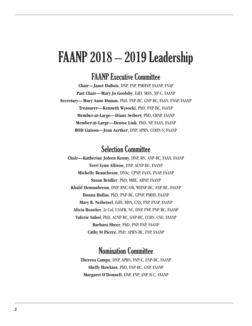### FAANP 2018 – 2019 Leadership

### FAANP Executive Committee

**Chair—Janet DuBois**, DNP, FNP, PMHNP, FAANP, FNAP **Past Chair—Mary Jo Goolsby**, EdD, MSN, NP-C, FAANP **Secretary—Mary Anne Dumas**, PhD, FNP-BC, GNP-BC, FAAN, FNAP, FAANP **Treasurer—Kenneth Wysocki**, PhD, FNP-BC, FAANP **Member-at-Large—Diane Seibert**, PhD, CRNP, FAANP **Member-at-Large—Denise Link**, PhD, NP, FAAN, FAANP **BOD Liaison—Jean Aertker**, DNP, APRN, COHN-S, FAANP

### Selection Committee

**Chair—Katherine Joleen Kenny**, DNP, RN, ANP-BC, FAAN, FAANP **Terri Lynn Allison**, DNP, ACNP-BC, FAANP **Michelle Beauchesne**, DNSc, CPNP, FAAN, FNAP, FAANP **Susan Beidler**, PhD, MBE, ARNP, FAANP **Khalil Demonbreun**, DNP, RNC-OB, WHNP-BC, ANP-BC, FAANP **Donna Hallas**, PhD, PNP-BC, CPNP, PMHS, FAANP **Mary B. Neiheisel**, EdD, MSN, CNS, FNP, FNAP, FAANP **Alicia Rossiter**, Lt Col, USAFR, NC, DNP, FNP, PNP-BC, FAANP **Valerie Sabol**, PhD, ACNP-BC, GNP-BC, CCRN, CNE, FAANP **Barbara Sheer**, PhD, PNP, FNP, FAANP **Cathy St Pierre**, PhD, APRN-BC, FNP, FAANP

### Nomination Committee

**Theresa Campo**, DNP, APRN, FNP-C, ENP-BC, FAANP **Shelly Hawkins**, PhD, FNP-BC, GNP, FAANP **Margaret O'Donnell**, DNP, FNP, ANP, B-C, FAANP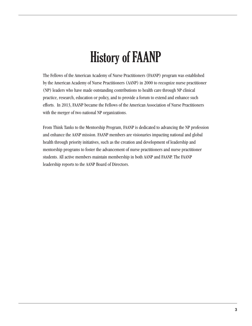# History of FAANP

The Fellows of the American Academy of Nurse Practitioners (FAANP) program was established by the American Academy of Nurse Practitioners (AANP) in 2000 to recognize nurse practitioner (NP) leaders who have made outstanding contributions to health care through NP clinical practice, research, education or policy, and to provide a forum to extend and enhance such efforts. In 2013, FAANP became the Fellows of the American Association of Nurse Practitioners with the merger of two national NP organizations.

From Think Tanks to the Mentorship Program, FAANP is dedicated to advancing the NP profession and enhance the AANP mission. FAANP members are visionaries impacting national and global health through priority initiatives, such as the creation and development of leadership and mentorship programs to foster the advancement of nurse practitioners and nurse practitioner students. All active members maintain membership in both AANP and FAANP. The FAANP leadership reports to the AANP Board of Directors.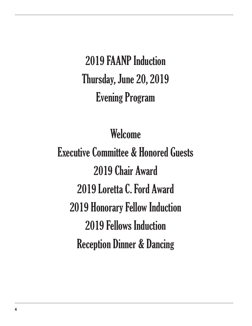2019 FAANP Induction Thursday, June 20, 2019 Evening Program

### Welcome

Executive Committee & Honored Guests 2019 Chair Award 2019 Loretta C. Ford Award 2019 Honorary Fellow Induction 2019 Fellows Induction Reception Dinner & Dancing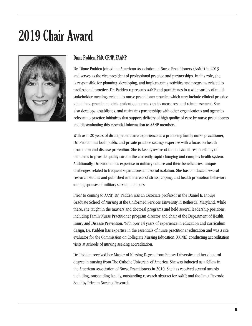### 2019 Chair Award



#### Diane Padden, PhD, CRNP, FAANP

Dr. Diane Padden joined the American Association of Nurse Practitioners (AANP) in 2013 and serves as the vice president of professional practice and partnerships. In this role, she is responsible for planning, developing, and implementing activities and programs related to professional practice. Dr. Padden represents AANP and participates in a wide variety of multistakeholder meetings related to nurse practitioner practice which may include clinical practice guidelines, practice models, patient outcomes, quality measures, and reimbursement. She also develops, establishes, and maintains partnerships with other organizations and agencies relevant to practice initiatives that support delivery of high quality of care by nurse practitioners and disseminating this essential information to AANP members.

With over 20 years of direct patient care experience as a practicing family nurse practitioner, Dr. Padden has both public and private practice settings expertise with a focus on health promotion and disease prevention. She is keenly aware of the individual responsibility of clinicians to provide quality care in the currently rapid changing and complex health system. Additionally, Dr. Padden has expertise in military culture and their beneficiaries' unique challenges related to frequent separations and social isolation. She has conducted several research studies and published in the areas of stress, coping, and health promotion behaviors among spouses of military service members.

Prior to coming to AANP, Dr. Padden was an associate professor in the Daniel K. Inouye Graduate School of Nursing at the Uniformed Services University in Bethesda, Maryland. While there, she taught in the masters and doctoral programs and held several leadership positions, including Family Nurse Practitioner program director and chair of the Department of Health, Injury and Disease Prevention. With over 14 years of experience in education and curriculum design, Dr. Padden has expertise in the essentials of nurse practitioner education and was a site evaluator for the Commission on Collegiate Nursing Education (CCNE) conducting accreditation visits at schools of nursing seeking accreditation.

Dr. Padden received her Master of Nursing Degree from Emory University and her doctoral degree in nursing from The Catholic University of America. She was inducted as a fellow in the American Association of Nurse Practitioners in 2010. She has received several awards including, outstanding faculty, outstanding research abstract for AANP, and the Janet Rexrode Southby Prize in Nursing Research.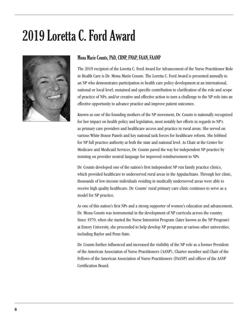# 2019 Loretta C. Ford Award



#### Mona Marie Counts, PhD, CRNP, FNAP, FAAN, FAANP

The 2019 recipient of the Loretta C. Ford Award for Advancement of the Nurse Practitioner Role in Health Care is Dr. Mona Marie Counts. The Loretta C. Ford Award is presented annually to an NP who demonstrates participation in health care policy development at an international, national or local level; sustained and specific contribution to clarification of the role and scope of practice of NPs; and/or creative and effective action to turn a challenge to the NP role into an effective opportunity to advance practice and improve patient outcomes.

Known as one of the founding mothers of the NP movement, Dr. Counts is nationally recognized for her impact on health policy and legislation, most notably her efforts in regards to NP's as primary care providers and healthcare access and practice in rural areas. She served on various White House Panels and key national task forces for healthcare reform. She lobbied for NP full practice authority at both the state and national level. As Chair at the Center for Medicare and Medicaid Services, Dr. Counts paved the way for independent NP practice by insisting on provider neutral language for improved reimbursement to NPs.

Dr. Counts developed one of the nation's first independent NP run family practice clinics, which provided healthcare to underserved rural areas in the Appalachians. Through her clinic, thousands of low-income individuals residing in medically underserved areas were able to receive high quality healthcare. Dr. Counts' rural primary care clinic continues to serve as a model for NP practice.

As one of this nation's first NPs and a strong supporter of women's education and advancement, Dr. Mona Counts was instrumental in the development of NP curricula across the country. Since 1970, when she started the Nurse Intensivist Program (later known as the NP Program) at Emory University, she proceeded to help develop NP programs at various other universities, including Baylor and Penn State.

Dr. Counts further influenced and increased the visibility of the NP role as a former President of the American Association of Nurse Practitioners (AANP), Charter member and Chair of the Fellows of the American Association of Nurse Practitioners (FAANP) and officer of the AANP Certification Board.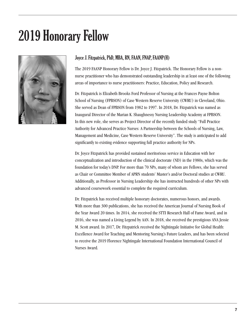## 2019 Honorary Fellow



#### Joyce J. Fitzpatrick, PhD, MBA, RN, FAAN, FNAP, FAANP(H)

The 2019 FAANP Honorary Fellow is Dr. Joyce J. Fitzpatrick. The Honorary Fellow is a nonnurse practitioner who has demonstrated outstanding leadership in at least one of the following areas of importance to nurse practitioners: Practice, Education, Policy and Research.

Dr. Fitzpatrick is Elizabeth Brooks Ford Professor of Nursing at the Frances Payne Bolton School of Nursing (FPBSON) of Case Western Reserve University (CWRU) in Cleveland, Ohio. She served as Dean of FPBSON from 1982 to 1997. In 2018, Dr. Fitzpatrick was named as Inaugural Director of the Marian K. Shaughnessy Nursing Leadership Academy at FPBSON. In this new role, she serves as Project Director of the recently funded study "Full Practice Authority for Advanced Practice Nurses: A Partnership between the Schools of Nursing, Law, Management and Medicine, Case Western Reserve University". The study is anticipated to add significantly to existing evidence supporting full practice authority for NPs.

Dr. Joyce Fitzpatrick has provided sustained meritorious service in Education with her conceptualization and introduction of the clinical doctorate (ND) in the 1980s, which was the foundation for today's DNP. For more than 70 NPs, many of whom are Fellows, she has served as Chair or Committee Member of APRN students' Master's and/or Doctoral studies at CWRU. Additionally, as Professor in Nursing Leadership she has instructed hundreds of other NPs with advanced coursework essential to complete the required curriculum.

Dr. Fitzpatrick has received multiple honorary doctorates, numerous honors, and awards. With more than 300 publications, she has received the American Journal of Nursing Book of the Year Award 20 times. In 2014, she received the STTI Research Hall of Fame Award, and in 2016, she was named a Living Legend by AAN. In 2018, she received the prestigious ANA Jessie M. Scott award. In 2017, Dr. Fitzpatrick received the Nightingale Initiative for Global Health: Excellence Award for Teaching and Mentoring Nursing's Future Leaders, and has been selected to receive the 2019 Florence Nightingale International Foundation International Council of Nurses Award.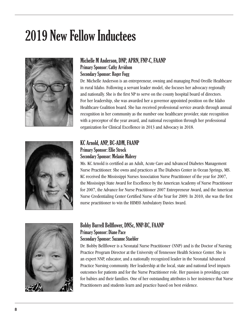# 2019 New Fellow Inductees





#### Michelle M Anderson, DNP, APRN, FNP-C, FAANP Primary Sponsor: Cathy Arvidson Secondary Sponsor: Roger Fogg

Dr. Michelle Anderson is an entrepreneur, owning and managing Pend Oreille Healthcare in rural Idaho. Following a servant leader model, she focuses her advocacy regionally and nationally. She is the first NP to serve on the county hospital board of directors. For her leadership, she was awarded her a governor appointed position on the Idaho Healthcare Coalition board. She has received professional service awards through annual recognition in her community as the number one healthcare provider, state recognition with a preceptor of the year award, and national recognition through her professional organization for Clinical Excellence in 2013 and Advocacy in 2018.

#### KC Arnold, ANP, BC-ADM, FAANP Primary Sponsor: Ellie Strock Secondary Sponsor: Melanie Mabrey

Ms. KC Arnold is certified as an Adult, Acute Care and Advanced Diabetes Management Nurse Practitioner. She owns and practices at The Diabetes Center in Ocean Springs, MS. KC received the Mississippi Nurses Association Nurse Practitioner of the year for 2007, the Mississippi State Award for Excellence by the American Academy of Nurse Practitioner for 2007, the Advance for Nurse Practitioner 2007 Entrepreneur Award, and the American Nurse Credentialing Center Certified Nurse of the Year for 2009. In 2010, she was the first nurse practitioner to win the HIMSS Ambulatory Davies Award.



#### Bobby Burrell Bellflower, DNSc, NNP-BC, FAANP Primary Sponsor: Diane Pace

#### Secondary Sponsor: Suzanne Staebler

Dr. Bobby Bellflower is a Neonatal Nurse Practitioner (NNP) and is the Doctor of Nursing Practice Program Director at the University of Tennessee Health Science Center. She is an expert NNP, educator, and a nationally recognized leader in the Neonatal Advanced Practice Nursing community. Her leadership at the local, state and national level impacts outcomes for patients and for the Nurse Practitioner role. Her passion is providing care for babies and their families. One of her outstanding attributes is her insistence that Nurse Practitioners and students learn and practice based on best evidence.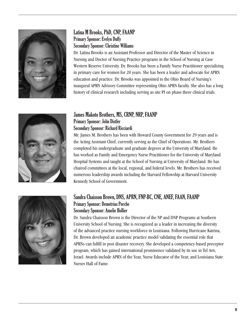

#### Latina M Brooks, PhD, CNP, FAANP Primary Sponsor: Evelyn Duffy Secondary Sponsor: Christine Williams

Dr. Latina Brooks is an Assistant Professor and Director of the Master of Science in Nursing and Doctor of Nursing Practice programs in the School of Nursing at Case Western Reserve University. Dr. Brooks has been a Family Nurse Practitioner specializing in primary care for women for 20 years. She has been a leader and advocate for APRN education and practice. Dr. Brooks was appointed to the Ohio Board of Nursing's inaugural APRN Advisory Committee representing Ohio APRN faculty. She also has a long history of clinical research including serving as site PI on phase three clinical trials.



#### James Makoto Brothers, MS, CRNP, NRP, FAANP Primary Sponsor: John Distler Secondary Sponsor: Richard Ricciardi

Mr. James M. Brothers has been with Howard County Government for 29 years and is the Acting Assistant Chief, currently serving as the Chief of Operations. Mr. Brothers completed his undergraduate and graduate degrees at the University of Maryland. He has worked as Family and Emergency Nurse Practitioner for the University of Maryland Hospital Systems and taught at the School of Nursing at University of Maryland. He has chaired committees at the local, regional, and federal levels. Mr. Brothers has received numerous leadership awards including the Harvard Fellowship at Harvard University Kennedy School of Government.



#### Sandra Chaisson Brown, DNS, APRN, FNP-BC, CNE, ANEF, FAAN, FAANP Primary Sponsor: Demetrius Porche Secondary Sponsor: Amelie Hollier

Dr. Sandra Chaisson Brown is the Director of the NP and DNP Programs at Southern University School of Nursing. She is recognized as a leader in increasing the diversity of the advanced practice nursing workforce in Louisiana. Following Hurricane Katrina, Dr. Brown developed an academic practice model validating the essential role that APRNs can fulfill in post disaster recovery. She developed a competency-based preceptor program, which has gained international prominence validated by its use in Tel Aviv, Israel. Awards include APRN of the Year, Nurse Educator of the Year, and Louisiana State Nurses Hall of Fame.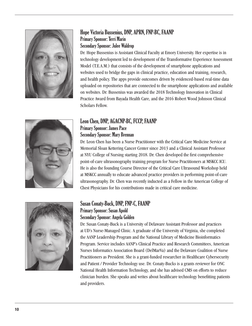

#### Hope Victoria Bussenius, DNP, APRN, FNP-BC, FAANP Primary Sponsor: Terri Marin Secondary Sponsor: Julee Waldrop

Dr. Hope Bussenius is Assistant Clinical Faculty at Emory University. Her expertise is in technology development led to development of the Transformative Experience Assessment Model (T.E.A.M.) that consists of the development of smartphone applications and websites used to bridge the gaps in clinical practice, education and training, research, and health policy. The apps provide outcomes driven by evidenced-based real-time data uploaded on repositories that are connected to the smartphone applications and available on websites. Dr. Bussenius was awarded the 2018 Technology Innovation in Clinical Practice Award from Bayada Health Care, and the 2016 Robert Wood Johnson Clinical Scholars Fellow.



#### Leon Chen, DNP, AGACNP-BC, FCCP, FAANP Primary Sponsor: James Pace Secondary Sponsor: Mary Brennan

Dr. Leon Chen has been a Nurse Practitioner with the Critical Care Medicine Service at Memorial Sloan Kettering Cancer Center since 2013 and a Clinical Assistant Professor at NYU College of Nursing starting 2018. Dr. Chen developed the first comprehensive point-of-care ultrasonography training program for Nurse Practitioners at MSKCC ICU. He is also the founding Course Director of the Critical Care Ultrasound Workshop held at MSKCC annually to educate advanced practice providers in performing point-of-care ultrasonography. Dr. Chen was recently inducted as a Fellow in the American College of Chest Physicians for his contributions made in critical care medicine.



#### Susan Conaty-Buck, DNP, FNP-C, FAANP Primary Sponsor: Susan Apold Secondary Sponsor: Angela Golden

Dr. Susan Conaty-Buck is a University of Delaware Assistant Professor and practices at UD's Nurse-Managed Clinic. A graduate of the University of Virginia, she completed the AANP Leadership Program and the National Library of Medicine Bioinformatics Program. Service includes AANP's Clinical Practice and Research Committees, American Nurses Informatics Association Board (DelMarVa) and the Delaware Coalition of Nurse Practitioners as President. She is a grant-funded researcher in Healthcare Cybersecurity and Patient / Provider Technology use. Dr. Conaty-Bucks is a grants reviewer for ONC National Health Information Technology, and she has advised CMS on efforts to reduce clinician burden. She speaks and writes about healthcare technology benefitting patients and providers.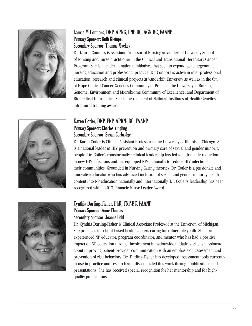

#### Laurie M Connors, DNP, APNG, FNP-BC, AGN-BC, FAANP Primary Sponsor: Ruth Kleinpell Secondary Sponsor: Thomas Mackey

Dr. Laurie Connors is Assistant Professor of Nursing at Vanderbilt University School of Nursing and nurse practitioner in the Clinical and Translational Hereditary Cancer Program. She is a leader in national initiatives that seek to expand genetic/genomic nursing education and professional practice. Dr. Connors is active in inter-professional education, research and clinical projects at Vanderbilt University as well as in the City of Hope Clinical Cancer Genetics Community of Practice, the University at Buffalo, Genome, Environment and Microbiome Community of Excellence, and Department of Biomedical Informatics. She is the recipient of National Institutes of Health Genetics intramural training award.



#### Karen Cotler, DNP, FNP, APRN- BC, FAANP Primary Sponsor: Charles Yingling Secondary Sponsor: Susan Corbridge

Dr. Karen Cotler is Clinical Assistant Professor at the University of Illinois at Chicago. She is a national leader in HIV prevention and primary care of sexual and gender minority people. Dr. Cotler's transformative clinical leadership has led to a dramatic reduction in new HIV infections and has equipped NPs nationally to reduce HIV infections in their communities. Grounded in Nursing Caring theories, Dr. Cotler is a passionate and innovative educator who has advanced inclusion of sexual and gender minority health content into NP education nationally and internationally. Dr. Cotler's leadership has been recognized with a 2017 Pinnacle Nurse Leader Award.



#### Cynthia Darling-Fisher, PhD, FNP-BC, FAANP Primary Sponsor: Anne Thomas Secondary Sponsor: Joanne Pohl

Dr. Cynthia Darling-Fisher is Clinical Associate Professor at the University of Michigan. She practices in school-based health centers caring for vulnerable youth. She is an experienced NP educator, program coordinator, and mentor who has had a positive impact on NP education through involvement in nationwide initiatives. She is passionate about improving patient-provider communication with an emphasis on assessment and prevention of risk behaviors. Dr. Darling-Fisher has developed assessment tools currently in use in practice and research and disseminated this work through publications and presentations. She has received special recognition for her mentorship and for highquality publications.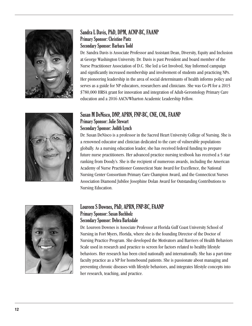

#### Sandra L Davis, PhD, DPM, ACNP-BC, FAANP Primary Sponsor: Christine Pintz Secondary Sponsor: Barbara Todd

Dr. Sandra Davis is Associate Professor and Assistant Dean, Diversity, Equity and Inclusion at George Washington University. Dr. Davis is past President and board member of the Nurse Practitioner Association of D.C. She led a Get Involved, Stay Informed campaign and significantly increased membership and involvement of students and practicing NPs. Her pioneering leadership in the area of social determinants of health informs policy and serves as a guide for NP educators, researchers and clinicians. She was Co-PI for a 2015 \$780,000 HRSA grant for innovation and integration of Adult-Gerontology Primary Care education and a 2016 AACN/Wharton Academic Leadership Fellow.



#### Susan M DeNisco, DNP, APRN, FNP-BC, CNE, CNL, FAANP Primary Sponsor: Julie Stewart Secondary Sponsor: Judith Lynch

Dr. Susan DeNisco is a professor in the Sacred Heart University College of Nursing. She is a renowned educator and clinician dedicated to the care of vulnerable populations globally. As a nursing education leader, she has received federal funding to prepare future nurse practitioners. Her advanced practice nursing textbook has received a 5 star ranking from Doody's. She is the recipient of numerous awards, including the American Academy of Nurse Practitioner Connecticut State Award for Excellence, the National Nursing Center Consortium Primary Care Champion Award, and the Connecticut Nurses Association Diamond Jubilee Josephine Dolan Award for Outstanding Contributions to Nursing Education.



#### Loureen S Downes, PhD, APRN, FNP-BC, FAANP Primary Sponsor: Susan Buchholz Secondary Sponsor: Debra Barksdale

Dr. Loureen Downes is Associate Professor at Florida Gulf Coast University School of Nursing in Fort Myers, Florida, where she is the founding Director of the Doctor of Nursing Practice Program. She developed the Motivators and Barriers of Health Behaviors Scale used in research and practice to screen for factors related to healthy lifestyle behaviors. Her research has been cited nationally and internationally. She has a part-time faculty practice as a NP for homebound patients. She is passionate about managing and preventing chronic diseases with lifestyle behaviors, and integrates lifestyle concepts into her research, teaching, and practice.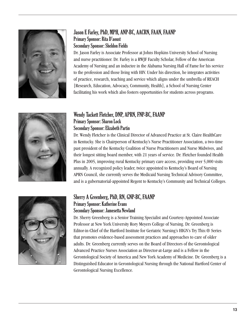

#### Jason E Farley, PhD, MPH, ANP-BC, AACRN, FAAN, FAANP Primary Sponsor: Rita D'aoust Secondary Sponsor: Sheldon Fields

Dr. Jason Farley is Associate Professor at Johns Hopkins University School of Nursing and nurse practitioner. Dr. Farley is a RWJF Faculty Scholar, Fellow of the American Academy of Nursing and an inductee in the Alabama Nursing Hall of Fame for his service to the profession and those living with HIV. Under his direction, he integrates activities of practice, research, teaching and service which aligns under the umbrella of REACH [Research, Education, Advocacy, Community, Health], a School of Nursing Center facilitating his work which also fosters opportunities for students across programs.



#### Wendy Tackett Fletcher, DNP, APRN, FNP-BC, FAANP Primary Sponsor: Sharon Lock Secondary Sponsor: Elizabeth Partin

Dr. Wendy Fletcher is the Clinical Director of Advanced Practice at St. Claire HealthCare in Kentucky. She is Chairperson of Kentucky's Nurse Practitioner Association, a two-time past president of the Kentucky Coalition of Nurse Practitioners and Nurse Midwives, and their longest sitting board member, with 21 years of service. Dr. Fletcher founded Health Plus in 2005, improving rural Kentucky primary care access, providing over 5,000 visits annually. A recognized policy leader, twice appointed to Kentucky's Board of Nursing APRN Council, she currently serves the Medicaid Nursing Technical Advisory Committee, and is a gubernatorial-appointed Regent to Kentucky's Community and Technical Colleges.



#### Sherry A Greenberg, PhD, RN, GNP-BC, FAANP Primary Sponsor: Katherine Evans Secondary Sponsor: Jamesetta Newland

Dr. Sherry Greenberg is a Senior Training Specialist and Courtesy-Appointed Associate Professor at New York University Rory Meyers College of Nursing. Dr. Greenberg is Editor-in-Chief of the Hartford Institute for Geriatric Nursing's HIGN's Try This:® Series that promotes evidence-based assessment practices and approaches to care of older adults. Dr. Greenberg currently serves on the Board of Directors of the Gerontological Advanced Practice Nurses Association as Director-at-Large and is a Fellow in the Gerontological Society of America and New York Academy of Medicine. Dr. Greenberg is a Distinguished Educator in Gerontological Nursing through the National Hartford Center of Gerontological Nursing Excellence.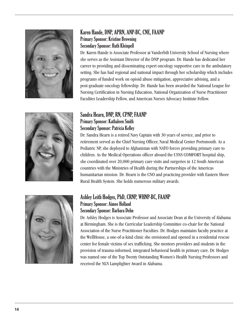

#### Karen Hande, DNP, APRN, ANP-BC, CNE, FAANP Primary Sponsor: Kristine Browning Secondary Sponsor: Ruth Kleinpell

Dr. Karen Hande is Associate Professor at Vanderbilt University School of Nursing where she serves as the Assistant Director of the DNP program. Dr. Hande has dedicated her career to providing and disseminating expert oncology supportive care in the ambulatory setting. She has had regional and national impact through her scholarship which includes programs of funded work on opioid abuse mitigation, appreciative advising, and a post-graduate oncology fellowship. Dr. Hande has been awarded the National League for Nursing Certification in Nursing Education, National Organization of Nurse Practitioner Faculties Leadership Fellow, and American Nurses Advocacy Institute Fellow.



#### Sandra Hearn, DNP, RN, CPNP, FAANP Primary Sponsor: Kathaleen Smith Secondary Sponsor: Patricia Kelley

Dr. Sandra Hearn is a retired Navy Captain with 30 years of service, and prior to retirement served as the Chief Nursing Officer, Naval Medical Center Portsmouth. As a Pediatric NP, she deployed to Afghanistan with NATO forces providing primary care to children. As the Medical Operations officer aboard the USNS COMFORT hospital ship, she coordinated over 20,000 primary care visits and surgeries in 12 South American countries with the Ministries of Health during the Partnerships of the Americas humanitarian mission. Dr. Hearn is the CNO and practicing provider with Eastern Shore Rural Health System. She holds numerous military awards.



#### Ashley Leith Hodges, PhD, CRNP, WHNP-BC, FAANP Primary Sponsor: Aimee Holland Secondary Sponsor: Barbara Dehn

Dr. Ashley Hodges is Associate Professor and Associate Dean at the University of Alabama at Birmingham. She is the Curricular Leadership Committee co-chair for the National Association of the Nurse Practitioner Faculties. Dr. Hodges maintains faculty practice at the WellHouse, a one-of-a-kind clinic she envisioned and opened in a residential rescue center for female victims of sex trafficking. She mentors providers and students in the provision of trauma-informed, integrated behavioral health in primary care. Dr. Hodges was named one of the Top Twenty Outstanding Women's Health Nursing Professors and received the NLN Lamplighter Award in Alabama.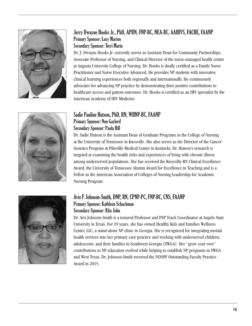

#### Jerry Dwayne Hooks Jr., PhD, APRN, FNP-BC, NEA-BC, AAHIVS, FACHE, FAANP Primary Sponsor: Lucy Marion Secondary Sponsor: Terri Marin

Dr. J. Dwayne Hooks Jr. currently serves as Assistant Dean for Community Partnerships, Associate Professor of Nursing, and Clinical Director of the nurse-managed health center at Augusta University College of Nursing. Dr. Hooks is dually certified as a Family Nurse Practitioner and Nurse Executive Advanced. He provides NP students with innovative clinical learning experiences both regionally and internationally. He continuously advocates for advancing NP practice by demonstrating their positive contributions to healthcare access and patient outcomes. Dr. Hooks is certified as an HIV specialist by the American Academy of HIV Medicine.

#### Sadie Pauline Hutson, PhD, RN, WHNP-BC, FAANP Primary Sponsor: Nan Gaylord Secondary Sponsor: Paula Hill

Dr. Sadie Hutson is the Assistant Dean of Graduate Programs in the College of Nursing at the University of Tennessee in Knoxville. She also serves as the Director of the Cancer Genetics Program at Pikeville Medical Center in Kentucky. Dr. Hutson's research is targeted at examining the health risks and experiences of living with chronic illness among underserved populations. She has received the Knoxville RN Clinical Excellence Award, the University of Tennessee Alumni Award for Excellence in Teaching and is a Fellow in the American Association of Colleges of Nursing Leadership for Academic Nursing Program.



#### Avis F Johnson-Smith, DNP, RN, CPNP-PC, FNP-BC, CNS, FAANP Primary Sponsor: Kathleen Schachman Secondary Sponsor: Rita John

Dr. Avis Johnson-Smith is a tenured Professor and FNP Track Coordinator at Angelo State University in Texas. For 19 years, she has owned Healthy Kids and Families Wellness Center, LLC, a stand-alone NP clinic in Georgia. She is recognized for integrating mental health services into her primary care practice and working with underserved children, adolescents, and their families in Southwest Georgia (SWGA). Her "grow your own" contributions to NP education evolved while helping to establish NP programs in SWGA and West Texas. Dr. Johnson-Smith received the NONPF Outstanding Faculty Practice Award in 2015.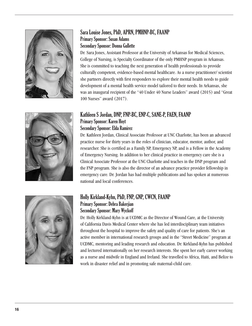

#### Sara Louise Jones, PhD, APRN, PMHNP-BC, FAANP Primary Sponsor: Susan Adams Secondary Sponsor: Donna Gullette

Dr. Sara Jones, Assistant Professor at the University of Arkansas for Medical Sciences, College of Nursing, is Specialty Coordinator of the only PMHNP program in Arkansas. She is committed to teaching the next generation of health professionals to provide culturally competent, evidence-based mental healthcare. As a nurse practitioner/ scientist she partners directly with first responders to explore their mental health needs to guide development of a mental health service model tailored to their needs. In Arkansas, she was an inaugural recipient of the "40 Under 40 Nurse Leaders" award (2015) and "Great 100 Nurses" award (2017).





#### Kathleen S Jordan, DNP, FNP-BC, ENP-C, SANE-P, FAEN, FAANP Primary Sponsor: Karen Hoyt Secondary Sponsor: Elda Ramirez

Dr. Kathleen Jordan, Clinical Associate Professor at UNC Charlotte, has been an advanced practice nurse for thirty years in the roles of clinician, educator, mentor, author, and researcher. She is certified as a Family NP, Emergency NP, and is a Fellow in the Academy of Emergency Nursing. In addition to her clinical practice in emergency care she is a Clinical Associate Professor at the UNC Charlotte and teaches in the DNP program and the FNP program. She is also the director of an advance practice provider fellowship in emergency care. Dr. Jordan has had multiple publications and has spoken at numerous national and local conferences.

#### Holly Kirkland-Kyhn, PhD, FNP, GNP, CWCN, FAANP Primary Sponsor: Debra Bakerjian Secondary Sponsor: Mary Wyckoff

Dr. Holly Kirkland-Kyhn is at UCDMC as the Director of Wound Care, at the University of California Davis Medical Center where she has led interdisciplinary team initiatives throughout the hospital to improve the safety and quality of care for patients. She's an active member in international research groups and in the "Street Medicine" program at UCDMC, mentoring and leading research and education. Dr. Kirkland-Kyhn has published and lectured internationally on her research interests. She spent her early career working as a nurse and midwife in England and Ireland. She travelled to Africa, Haiti, and Belize to work in disaster relief and in promoting safe maternal-child care.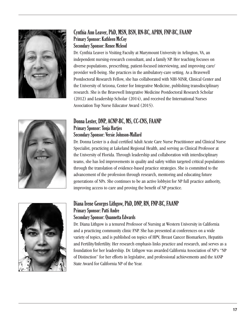

#### Cynthia Ann Leaver, PhD, MSN, BSN, RN-BC, APRN, FNP-BC, FAANP Primary Sponsor: Kathleen McCoy Secondary Sponsor: Renee Mcleod

Dr. Cynthia Leaver is Visiting Faculty at Marymount University in Arlington, VA, an independent nursing-research consultant, and a family NP. Her teaching focuses on diverse populations, prescribing, patient-focused interviewing, and improving care/ provider well-being. She practices in the ambulatory-care setting. As a Bravewell Postdoctoral Research Fellow, she has collaborated with NIH-NINR, Clinical Center and the University of Arizona, Center for Integrative Medicine, publishing transdisciplinary research. She is the Bravewell Integrative Medicine Postdoctoral Research Scholar (2012) and Leadership Scholar (2014), and received the International Nurses Association Top Nurse Educator Award (2015).



#### Donna Lester, DNP, ACNP-BC, MS, CC-CNS, FAANP Primary Sponsor: Tonja Hartjes

#### Secondary Sponsor: Versie Johnson-Mallard

Dr. Donna Lester is a dual certified Adult Acute Care Nurse Practitioner and Clinical Nurse Specialist, practicing at Lakeland Regional Health, and serving as Clinical Professor at the University of Florida. Through leadership and collaboration with interdisciplinary teams, she has led improvements in quality and safety within targeted critical populations through the translation of evidence-based practice strategies. She is committed to the advancement of the profession through research, mentoring and educating future generations of NPs. She continues to be an active lobbyist for NP full practice authority, improving access to care and proving the benefit of NP practice.



#### Diana Irene Georges Lithgow, PhD, DNP, RN, FNP-BC, FAANP Primary Sponsor: Patti Andre Secondary Sponsor: Quannetta Edwards

Dr. Diana Lithgow is a tenured Professor of Nursing at Western University in California and a practicing community clinic FNP. She has presented at conferences on a wide variety of topics, and is published on topics of HPV, Breast Cancer Biomarkers, Hepatitis and Fertility/Infertility. Her research emphasis links practice and research, and serves as a foundation for her leadership. Dr. Lithgow was awarded California Association of NP's "NP of Distinction" for her efforts in legislative, and professional achievements and the AANP State Award for California NP of the Year.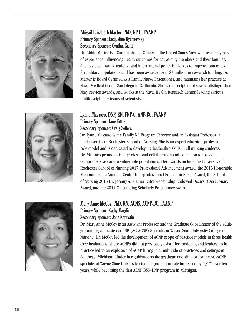

#### Abigail Elizabeth Marter, PhD, NP-C, FAANP Primary Sponsor: Jacqueline Rychnovsky Secondary Sponsor: Cynthia Gantt

Dr. Abbie Marter is a Commissioned Officer in the United States Navy with over 22 years of experience influencing health outcomes for active duty members and their families. She has been part of national and international policy initiatives to improve outcomes for military populations and has been awarded over \$3 million in research funding. Dr. Marter is Board Certified as a Family Nurse Practitioner, and maintains her practice at Naval Medical Center San Diego in California. She is the recipient of several distinguished Navy service awards, and works at the Naval Health Research Center, leading various multidisciplinary teams of scientists.

#### Lynne Massaro, DNP, RN, FNP-C, ANP-BC, FAANP Primary Sponsor: Jane Tuttle Secondary Sponsor: Craig Sellers

Dr. Lynne Massaro is the Family NP Program Director and an Assistant Professor at the University of Rochester School of Nursing. She is an expert educator, professional role model and is dedicated to developing leadership skills in all nursing students. Dr. Massaro promotes interprofessional collaboration and education to provide comprehensive care to vulnerable populations. Her awards include the University of Rochester School of Nursing 2017 Professional Advancement Award, the 2016 Honorable Mention for the National Center Interprofessional Education Nexus Award, the School of Nursing 2016 Dr. Jeremy A. Klainer Entrepreneurship Endowed Dean's Discretionary Award, and the 2014 Outstanding Scholarly Practitioner Award.



#### Mary Anne McCoy, PhD, RN, ACNS, ACNP-BC, FAANP Primary Sponsor: Kathy Magdic Secondary Sponsor: Jane Kapustin

Dr. Mary Anne McCoy is an Assistant Professor and the Graduate Coordinator of the adultgerontological acute care NP (AG-ACNP) Specialty at Wayne State University College of Nursing. Dr. McCoy led the development of ACNP scope of practice models in three health care institutions where ACNPs did not previously exist. Her modeling and leadership in practice led to an explosion of ACNP hiring in a multitude of practices and settings in Southeast Michigan. Under her guidance as the graduate coordinator for the AG-ACNP specialty at Wayne State University, student graduation rate increased by 491% over ten years, while becoming the first ACNP BSN-DNP program in Michigan.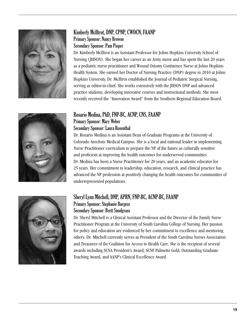

#### Kimberly McIltrot, DNP, CPNP, CWOCN, FAANP Primary Sponsor: Nancy Browne Secondary Sponsor: Pam Pieper

Dr. Kimberly McIltrot is an Assistant Professor for Johns Hopkins University School of Nursing (JHSON). She began her career as an Army nurse and has spent the last 20 years as a pediatric nurse practitioner and Wound Ostomy Continence Nurse at Johns Hopkins Health System. She earned her Doctor of Nursing Practice (DNP) degree in 2010 at Johns Hopkins University. Dr. McIltrot established the Journal of Pediatric Surgical Nursing, serving as editor-in-chief. She works extensively with the JHSON DNP and advanced practice students, developing innovative courses and instructional methods. She most recently received the "Innovation Award" from the Southern Regional Education Board.

#### Rosario Medina, PhD, FNP-BC, ACNP, CNS, FAANP Primary Sponsor: Mary Weber Secondary Sponsor: Laura Rosenthal

Dr. Rosario Medina is an Assistant Dean of Graduate Programs at the University of Colorado Anschutz Medical Campus. She is a local and national leader in implementing Nurse Practitioner curriculum to prepare the NP of the future as culturally sensitive and proficient at improving the health outcomes for underserved communities. Dr. Medina has been a Nurse Practitioner for 20 years, and an academic educator for 25 years. Her commitment to leadership, education, research, and clinical practice has advanced the NP profession at positively changing the health outcomes for communities of underrepresented populations.



#### Sheryl Lynn Mitchell, DNP, APRN, FNP-BC, ACNP-BC, FAANP Primary Sponsor: Stephanie Burgess Secondary Sponsor: Brett Snodgrass

Dr. Sheryl Mitchell is a Clinical Assistant Professor and the Director of the Family Nurse Practitioner Program at the University of South Carolina College of Nursing. Her passion for policy and education are evidenced by her commitment to excellence and mentoring others. Dr. Mitchell currently serves as President of the South Carolina Nurses Association and Treasurer of the Coalition for Access to Health Care. She is the recipient of several awards including SCNA President's Award, SCNF Palmetto Gold, Outstanding Graduate Teaching Award, and AANP's Clinical Excellence Award.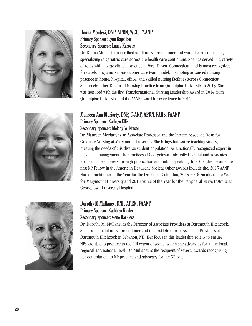

#### Donna Montesi, DNP, APRN, WCC, FAANP Primary Sponsor: Lynn Rapsilber Secondary Sponsor: Laima Karosas

Dr. Donna Montesi is a certified adult nurse practitioner and wound care consultant, specializing in geriatric care across the health care continuum. She has served in a variety of roles with a large clinical practice in West Haven, Connecticut, and is most recognized for developing a nurse practitioner care team model, promoting advanced nursing practice in home, hospital, office, and skilled nursing facilities across Connecticut. She received her Doctor of Nursing Practice from Quinnipiac University in 2013. She was honored with the first Transformational Nursing Leadership Award in 2014 from Quinnipiac University and the AANP award for excellence in 2011.



#### Maureen Ann Moriarty, DNP, C-ANP, APRN, FAHS, FAANP Primary Sponsor: Kathryn Ellis Secondary Sponsor: Melody Wilkinson

Dr. Maureen Moriarty is an Associate Professor and the Interim Associate Dean for Graduate Nursing at Marymount University. She brings innovative teaching strategies meeting the needs of this diverse student population. As a nationally recognized expert in headache management, she practices at Georgetown University Hospital and advocates for headache sufferers through publication and public speaking. In 2017, she became the first NP Fellow in the American Headache Society. Other awards include the, 2015 AANP Nurse Practitioner of the Year for the District of Columbia, 2015-2016 Faculty of the Year for Marymount University and 2018 Nurse of the Year for the Peripheral Nerve Institute at Georgetown University Hospital.



#### Dorothy M Mullaney, DNP, APRN, FAANP Primary Sponsor: Kathleen Kidder Secondary Sponsor: Gene Harkless

Dr. Dorothy M. Mullaney is the Director of Associate Providers at Dartmouth Hitchcock. She is a neonatal nurse practitioner and the first Director of Associate Providers at Dartmouth Hitchcock in Lebanon, NH. Her focus in this leadership role is to ensure NPs are able to practice to the full extent of scope, which she advocates for at the local, regional and national level. Dr. Mullaney is the recipient of several awards recognizing her commitment to NP practice and advocacy for the NP role.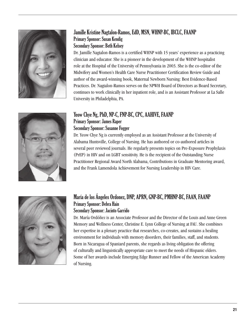

#### Jamille Kristine Nagtalon-Ramos, EdD, MSN, WHNP-BC, IBCLC, FAANP Primary Sponsor: Susan Kendig Secondary Sponsor: Beth Kelsey

Dr. Jamille Nagtalon-Ramos is a certified WHNP with 15 years' experience as a practicing clinician and educator. She is a pioneer in the development of the WHNP hospitalist role at the Hospital of the University of Pennsylvania in 2003. She is the co-editor of the Midwifery and Women's Health Care Nurse Practitioner Certification Review Guide and author of the award-winning book, Maternal Newborn Nursing: Best Evidence-Based Practices. Dr. Nagtalon-Ramos serves on the NPWH Board of Directors as Board Secretary, continues to work clinically in her inpatient role, and is an Assistant Professor at La Salle University in Philadelphia, PA.

#### Yeow Chye Ng, PhD, NP-C, FNP-BC, CPC, AAHIVE, FAANP Primary Sponsor: James Raper Secondary Sponsor: Susanne Fogger

Dr. Yeow Chye Ng is currently employed as an Assistant Professor at the University of Alabama Huntsville, College of Nursing. He has authored or co-authored articles in several peer reviewed journals. He regularly presents topics on Pre-Exposure Prophylaxis (PrEP) in HIV and on LGBT sensitivity. He is the recipient of the Outstanding Nurse Practitioner Regional Award North Alabama, Contributions in Graduate Mentoring award, and the Frank Lamendola Achievement for Nursing Leadership in HIV Care.



#### María de los Ángeles Ordonez, DNP, APRN, GNP-BC, PMHNP-BC, FAAN, FAANP Primary Sponsor: Debra Hain Secondary Sponsor: Jacinto Garrido

Dr. María Ordóñez is an Associate Professor and the Director of the Louis and Anne Green Memory and Wellness Center, Christine E. Lynn College of Nursing at FAU. She combines her expertise in a plenary practice that researches, co-creates, and sustains a healing environment for individuals with memory disorders, their families, staff, and students. Born in Nicaragua of Spaniard parents, she regards as living obligation the offering of culturally and linguistically appropriate care to meet the needs of Hispanic elders. Some of her awards include Emerging Edge Runner and Fellow of the American Academy of Nursing.

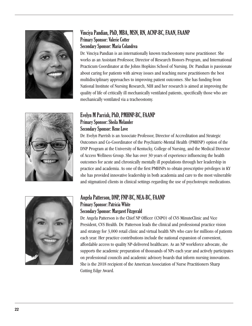

#### Vinciya Pandian, PhD, MBA, MSN, RN, ACNP-BC, FAAN, FAANP Primary Sponsor: Valerie Cotter Secondary Sponsor: Maria Colandrea

Dr. Vinciya Pandian is an internationally known tracheostomy nurse practitioner. She works as an Assistant Professor, Director of Research Honors Program, and International Practicum Coordinator at the Johns Hopkins School of Nursing. Dr. Pandian is passionate about caring for patients with airway issues and teaching nurse practitioners the best multidisciplinary approaches to improving patient outcomes. She has funding from National Institute of Nursing Research, NIH and her research is aimed at improving the quality of life of critically ill mechanically ventilated patients, specifically those who are mechanically ventilated via a tracheostomy.

#### Evelyn M Parrish, PhD, PMHNP-BC, FAANP Primary Sponsor: Sheila Melander Secondary Sponsor: Rene Love

Dr. Evelyn Parrish is an Associate Professor, Director of Accreditation and Strategic Outcomes and Co-Coordinator of the Psychiatric-Mental Health (PMHNP) option of the DNP Program at the University of Kentucky, College of Nursing, and the Medical Director of Access Wellness Group. She has over 30 years of experience influencing the health outcomes for acute and chronically mentally ill populations through her leadership in practice and academia. As one of the first PMHNPs to obtain prescriptive privileges in KY she has provided innovative leadership in both academia and care to the most vulnerable and stigmatized clients in clinical settings regarding the use of psychotropic medications.



#### Angela Patterson, DNP, FNP-BC, NEA-BC, FAANP Primary Sponsor: Patricia White Secondary Sponsor: Margaret Fitzgerald

Dr. Angela Patterson is the Chief NP Officer (CNPO) of CVS MinuteClinic and Vice President, CVS Health. Dr. Patterson leads the clinical and professional practice vision and strategy for 3,000 retail clinic and virtual health NPs who care for millions of patients each year. Her practice contributions include the national expansion of convenient, affordable access to quality NP-delivered healthcare. As an NP workforce advocate, she supports the academic preparation of thousands of NPs each year and actively participates on professional councils and academic advisory boards that inform nursing innovations. She is the 2018 recipient of the American Association of Nurse Practitioners Sharp Cutting Edge Award.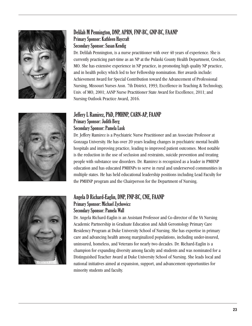

#### Delilah M Pennington, DNP, APRN, FNP-BC, GNP-BC, FAANP Primary Sponsor: Kathleen Haycraft Secondary Sponsor: Susan Kendig

Dr. Delilah Pennington, is a nurse practitioner with over 40 years of experience. She is currently practicing part-time as an NP at the Pulaski County Health Department, Crocker, MO. She has extensive experience in NP practice, in promoting high quality NP practice, and in health policy which led to her Fellowship nomination. Her awards include: Achievement Award for Special Contribution toward the Advancement of Professional Nursing, Missouri Nurses Assn. 7th District, 1993; Excellence in Teaching & Technology, Univ. of MO, 2001; AANP Nurse Practitioner State Award for Excellence, 2011; and Nursing Outlook Practice Award, 2016.

#### Jeffery L Ramirez, PhD, PMHNP, CARN-AP, FAANP Primary Sponsor: Judith Berg Secondary Sponsor: Pamela Lusk

Dr. Jeffery Ramirez is a Psychiatric Nurse Practitioner and an Associate Professor at Gonzaga University. He has over 20 years leading changes in psychiatric mental health hospitals and improving practice, leading to improved patient outcomes. Most notable is the reduction in the use of seclusion and restraints, suicide prevention and treating people with substance use disorders. Dr. Ramirez is recognized as a leader in PMHNP education and has educated PMHNPs to serve in rural and underserved communities in multiple states. He has held educational leadership positions including Lead Faculty for the PMHNP program and the Chairperson for the Department of Nursing.



#### Angela D Richard-Eaglin, DNP, FNP-BC, CNE, FAANP Primary Sponsor: Michael Zychowicz Secondary Sponsor: Pamela Wall

Dr. Angela Richard-Eaglin is an Assistant Professor and Co-director of the VA Nursing Academic Partnership in Graduate Education and Adult Gerontology Primary Care Residency Program at Duke University School of Nursing. She has expertise in primary care and advancing health among marginalized populations, including under-insured, uninsured, homeless, and Veterans for nearly two decades. Dr. Richard-Eaglin is a champion for expanding diversity among faculty and students and was nominated for a Distinguished Teacher Award at Duke University School of Nursing. She leads local and national initiatives aimed at expansion, support, and advancement opportunities for minority students and faculty.

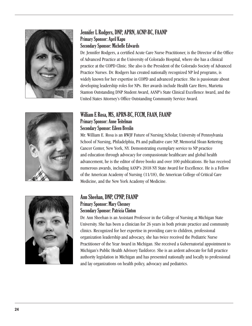

#### Jennifer L Rodgers, DNP, APRN, ACNP-BC, FAANP Primary Sponsor: April Kapu Secondary Sponsor: Michelle Edwards

William E Rosa, MS, APRN-BC, FCCM, FAAN, FAANP

Dr. Jennifer Rodgers, a certified Acute Care Nurse Practitioner, is the Director of the Office of Advanced Practice at the University of Colorado Hospital, where she has a clinical practice at the COPD Clinic. She also is the President of the Colorado Society of Advanced Practice Nurses. Dr. Rodgers has created nationally recognized NP led programs, is widely known for her expertise in COPD and advanced practice. She is passionate about developing leadership roles for NPs. Her awards include Health Care Hero, Marietta Stanton Outstanding DNP Student Award, AANP's State Clinical Excellence Award, and the United States Attorney's Office Outstanding Community Service Award.

Mr. William E. Rosa is an RWJF Future of Nursing Scholar, University of Pennsylvania School of Nursing, Philadelphia, PA and palliative care NP, Memorial Sloan Kettering

advancement, he is the editor of three books and over 100 publications. He has received numerous awards, including AANP's 2018 NY State Award for Excellence. He is a Fellow

Cancer Center, New York, NY. Demonstrating exemplary service to NP practice and education through advocacy for compassionate healthcare and global health



### of the American Academy of Nursing (11/18), the American College of Critical Care Medicine, and the New York Academy of Medicine. Ann Sheehan, DNP, CPNP, FAANP

Primary Sponsor: Anne Teitelman Secondary Sponsor: Eileen Breslin

#### Primary Sponsor: Mary Chesney Secondary Sponsor: Patricia Clinton

Dr. Ann Sheehan is an Assistant Professor in the College of Nursing at Michigan State University. She has been a clinician for 26 years in both private practice and community clinics. Recognized for her expertise in providing care to children, professional organization leadership and advocacy, she has twice received the Pediatric Nurse Practitioner of the Year Award in Michigan. She received a Gubernatorial appointment to Michigan's Public Health Advisory Taskforce. She is an ardent advocate for full practice authority legislation in Michigan and has presented nationally and locally to professional and lay organizations on health policy, advocacy and pediatrics.

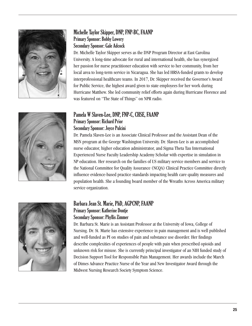

#### Michelle Taylor Skipper, DNP, FNP-BC, FAANP Primary Sponsor: Bobby Lowery Secondary Sponsor: Gale Adcock

Dr. Michelle Taylor Skipper serves as the DNP Program Director at East Carolina University. A long-time advocate for rural and international health, she has synergized her passion for nurse practitioner education with service to her community, from her local area to long-term service in Nicaragua. She has led HRSA-funded grants to develop interprofessional healthcare teams. In 2017, Dr. Skipper received the Governor's Award for Public Service, the highest award given to state employees for her work during Hurricane Matthew. She led community relief efforts again during Hurricane Florence and was featured on "The State of Things" on NPR radio.

#### Pamela W Slaven-Lee, DNP, FNP-C, CHSE, FAANP Primary Sponsor: Richard Prior Secondary Sponsor: Joyce Pulcini

Dr. Pamela Slaven-Lee is an Associate Clinical Professor and the Assistant Dean of the MSN program at the George Washington University. Dr. Slaven-Lee is an accomplished nurse educator, higher education administrator, and Sigma Theta Tau International Experienced Nurse Faculty Leadership Academy Scholar with expertise in simulation in NP education. Her research on the families of US military service members and service to the National Committee for Quality Assurance (NCQA) Clinical Practice Committee directly influence evidence-based practice standards impacting health care quality measures and population health. She a founding board member of the Wreaths Across America military service organization.



#### Barbara Jean St. Marie, PhD, AGPCNP, FAANP Primary Sponsor: Katherine Dontje Secondary Sponsor: Phyllis Zimmer

Dr. Barbara St. Marie is an Assistant Professor at the University of Iowa, College of Nursing. Dr. St. Marie has extensive experience in pain management and is well published and well-funded as PI on studies of pain and substance use disorder. Her findings describe complexities of experiences of people with pain when prescribed opioids and unknown risk for misuse. She is currently principal investigator of an NIH funded study of Decision Support Tool for Responsible Pain Management. Her awards include the March of Dimes Advance Practice Nurse of the Year and New Investigator Award through the Midwest Nursing Research Society Symptom Science.

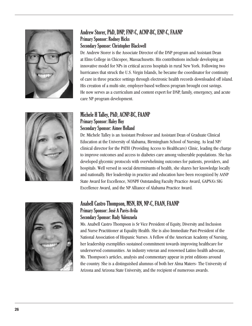



#### Andrew Storer, PhD, DNP, FNP-C, ACNP-BC, ENP-C, FAANP Primary Sponsor: Rodney Hicks Secondary Sponsor: Christopher Blackwell

Dr. Andrew Storer is the Associate Director of the DNP program and Assistant Dean at Elms College in Chicopee, Massachusetts. His contributions include developing an innovative model for NPs in critical access hospitals in rural New York. Following two hurricanes that struck the U.S. Virgin Islands, he became the coordinator for continuity of care in three practice settings through electronic health records downloaded off island. His creation of a multi-site, employer-based wellness program brought cost savings. He now serves as a curriculum and content expert for DNP, family, emergency, and acute care NP program development.

#### Michele H Talley, PhD, ACNP-BC, FAANP Primary Sponsor: Haley Hoy Secondary Sponsor: Aimee Holland

Dr. Michele Talley is an Assistant Professor and Assistant Dean of Graduate Clinical Education at the University of Alabama, Birmingham School of Nursing. As lead NP/ clinical director for the PATH (Providing Access to Healthcare) Clinic, leading the charge to improve outcomes and access to diabetes care among vulnerable populations. She has developed glycemic protocols with overwhelming outcomes for patients, providers, and hospitals. Well versed in social determinants of health, she shares her knowledge locally and nationally. Her leadership in practice and education have been recognized by AANP State Award for Excellence, NONPF Outstanding Faculty Practice Award, GAPNA's SIG Excellence Award, and the NP Alliance of Alabama Practice Award.



#### Anabell Castro Thompson, MSN, RN, NP-C, FAAN, FAANP Primary Sponsor: José A Parés-Avila Secondary Sponsor: Rudy Valenzuela

Ms. Anabell Castro Thompson is Sr Vice President of Equity, Diversity and Inclusion and Nurse Practitioner at Equality Health. She is also Immediate Past-President of the National Association of Hispanic Nurses. A Fellow of the American Academy of Nursing, her leadership exemplifies sustained commitment towards improving healthcare for underserved communities. An industry veteran and renowned Latino health advocate, Ms. Thompson's articles, analysis and commentary appear in print editions around the country. She is a distinguished alumnus of both her Alma Maters- The University of Arizona and Arizona State University, and the recipient of numerous awards.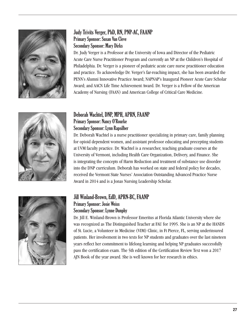

#### Judy Trivits Verger, PhD, RN, PNP-AC, FAANP Primary Sponsor: Susan Van Cleve Secondary Sponsor: Mary Dirks

Dr. Judy Verger is a Professor at the University of Iowa and Director of the Pediatric Acute Care Nurse Practitioner Program and currently an NP at the Children's Hospital of Philadelphia. Dr. Verger is a pioneer of pediatric acute care nurse practitioner education and practice. To acknowledge Dr. Verger's far-reaching impact, she has been awarded the PENN's Alumni Innovative Practice Award; NAPNAP's Inaugural Pioneer Acute Care Scholar Award; and AACN Life Time Achievement Award. Dr. Verger is a Fellow of the American Academy of Nursing (FAAN) and American College of Critical Care Medicine.



#### Deborah Wachtel, DNP, MPH, APRN, FAANP Primary Sponsor: Nancy O'Rourke Secondary Sponsor: Lynn Rapsilber

Dr. Deborah Wachtel is a nurse practitioner specializing in primary care, family planning for opioid dependent women, and assistant professor educating and precepting students at UVM faculty practice. Dr. Wachtel is a researcher, teaching graduate courses at the University of Vermont, including Health Care Organization, Delivery, and Finance. She is integrating the concepts of Harm Reduction and treatment of substance use disorder into the DNP curriculum. Deborah has worked on state and federal policy for decades, received the Vermont State Nurses' Association Outstanding Advanced Practice Nurse Award in 2014 and is a Jonas Nursing Leadership Scholar.



#### Jill Winland-Brown, EdD, APRN-BC, FAANP Primary Sponsor: Josie Weiss Secondary Sponsor: Lynne Dunphy

Dr. Jill E. Winland-Brown is Professor Emeritus at Florida Atlantic University where she was recognized as The Distinguished Teacher at FAU for 1995. She is an NP at the HANDS of St. Lucie, a Volunteer in Medicine (VIM) Clinic, in Ft Pierce, FL, serving underinsured patients. Her involvement in two texts for NP students and graduates over the last nineteen years reflect her commitment to lifelong learning and helping NP graduates successfully pass the certification exam. The 5th edition of the Certification Review Text won a 2017 AJN Book of the year award. She is well known for her research in ethics.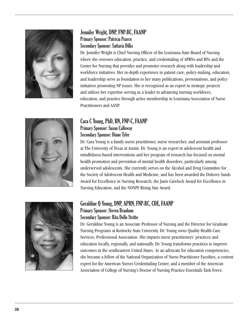

#### Jennifer Wright, DNP, FNP-BC, FAANP Primary Sponsor: Patricia Pearce Secondary Sponsor: Sattaria Dilks

Dr. Jennifer Wright is Chief Nursing Officer of the Louisiana State Board of Nursing where she oversees education, practice, and credentialing of APRNs and RNs and the Center for Nursing that provides and promotes research along with leadership and workforce initiatives. Her in-depth experience in patient care, policy-making, education, and leadership serve as foundation to her many publications, presentations, and policy initiatives promoting NP issues. She is recognized as an expert in strategic projects and utilizes her expertise serving as a leader in advancing nursing workforce, education, and practice through active membership in Louisiana Association of Nurse Practitioners and AANP.



#### Cara C Young, PhD, RN, FNP-C, FAANP Primary Sponsor: Susan Calloway Secondary Sponsor: Diane Tyler

Dr. Cara Young is a family nurse practitioner, nurse researcher, and assistant professor at The University of Texas at Austin. Dr. Young is an expert in adolescent health and mindfulness-based interventions and her program of research has focused on mental health promotion and prevention of mental health disorders, particularly among underserved adolescents. She currently serves on the Alcohol and Drug Committee for the Society of Adolescent Health and Medicine, and has been awarded the Dolores Sands Award for Excellence in Nursing Research, the Janis Carelock Award for Excellence in Nursing Education, and the NONPF Rising Star Award.



#### Geraldine Q Young, DNP, APRN, FNP-BC, CDE, FAANP Primary Sponsor: Steven Branham Secondary Sponsor: Rita Dello Stritto

Dr. Geraldine Young is an Associate Professor of Nursing and the Director for Graduate Nursing Programs at Kentucky State University. Dr. Young owns Quality Health Care Services, Professional Association. She impacts nurse practitioners' practices and education locally, regionally, and nationally. Dr. Young transforms practices to improve outcomes in the southeastern United States. As an advocate for education competencies, she became a fellow of the National Organization of Nurse Practitioner Faculties, a content expert for the American Nurses Credentialing Center, and a member of the American Association of College of Nursing's Doctor of Nursing Practice Essentials Task Force.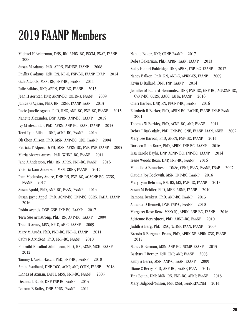### 2019 FAANP Members

Michael H Ackerman, DNS, RN, APRN-BC, FCCM, FNAP, FAANP 2006 Susan M Adams, PhD, APRN, PMHNP, FAANP 2008 Phyllis C Adams, EdD, RN, NP-C, FNP-BC, FAANP, FNAP 2014 Gale Adcock, MSN, RN, FNP-BC, FAANP 2011 Julie Adkins, DNP, APRN, FNP-BC, FAANP 2015 Jean H Aertker, DNP, ARNP-BC, COHN-s, FAANP 2009 Janice G Agazio, PhD, RN, CRNP, FAANP, FAAN 2013 Lucie Janelle Agosta, PhD, RNC, ANP-BC, FNP-BC, FAANP 2015 Nanette Alexander, DNP, APRN, ANP-BC, FAANP 2015 Ivy M Alexander, PhD, APRN, ANP-BC, FAAN, FAANP 2015 Terri Lynn Allison, DNP, ACNP-BC, FAANP 2014 Ok Chon Allison, PhD, MSN, ANP-BC, CDE, FAANP 2004 Patricia T Alpert, DrPH, MSN, APRN-BC, FNP, PNP, FAANP 2005 Maria Alvarez Amaya, PhD, WHNP-BC, FAANP 2011 Jane A Anderson, PhD, RN, APRN, FNP-BC, FAANP 2016 Victoria Lynn Anderson, MSN, CRNP, FAANP 2017 Patti Mccluskey Andre, DNP, RN, FNP-BC, AGACNP-BC, CCNS, FAANP 2017 Susan Apold, PhD, ANP-BC, FAAN, FAANP 2014 Susan Jayne Appel, PhD, ACNP-BC, FNP-BC, CCRN, FAHA, FAANP 2016 Robin Arends, DNP, CNP, FNP-BC, FAANP 2017 Terri Sue Armstrong, PhD, RN, ANP-BC, FAANP 2009 Traci D Arney, MSN, NP-C, AE-C, FAANP 2009 Mary M Aruda, PhD, PNP-BC, FNP-C, FAANP 2011 Cathy R Arvidson, PhD, FNP-BC, FAANP 2010 Ponrathi Rosalind Athilingam, PhD, RN, ACNP, MCH, FAANP 2012 Tammy L Austin-Ketch, PhD, FNP-BC, FAANP 2010 Amita Avadhani, DNP, DCC, ACNP, ANP, CCRN, FAANP 2018 Linnea M Axman, DrPH, MSN, FNP-BC, FAANP 2005 Deanna L Babb, DNP FNP BC FAANP 2014 Louann B Bailey, DNP, APRN, FAANP 2011

Natalie Baker, DNP, CRNP, FAANP 2017 Debra Bakerjian, PhD, APRN, FAAN, FAANP 2013 Kathy Hebert Baldridge, DNP, APRN, FNP-BC, FAANP 2017 Nancy Balkon, PhD, RN, ANP-C, APRN-CS, FAANP 2009 Kevin D Ballard, DNP, FNP, FAANP 2014 Jennifer M Ballard-Hernandez, DNP, FNP-BC, GNP-BC, AGACNP-BC, CVNP-BC, CCRN, AACC, FAHA, FAANP 2016 Cheri Barber, DNP, RN, PPCNP-BC, FAANP 2016 Elizabeth R Barker, PhD, APRN-BC, FACHE, FAANP, FNAP, FAAN 2001 Thomas W Barkley, PhD, ACNP-BC, ANP, FAANP 2011 Debra J Barksdale, PhD, FNP-BC, CNE, FAANP, FAAN, ANEF 2007 Mary Lee Barron, PhD, APRN, FNP-BC, FAANP 2014 Darleen Ruth Bartz, PhD, APRN, FNP-BC, FAANP 2016 Lisa Carole Bayhi, DNP, ACNP- BC, FNP-BC, FAANP 2014 Irene Woods Bean, DNP, FNP-BC, FAANP 2016 Michelle A Beauchesne, DNSc, CPNP, FAAN, FAANP, FNAP 2007 Claudia Joy Beckwith, MSN, FNP-BC, FAANP 2016 Mary Lynn Behrens, RN, BS, MS, FNP-BC, FAANP 2013 Susan M Beidler, PhD, MBE, ARNP, FAANP 2010 Ramona Benkert, PhD, ANP-BC, FAANP 2013 Amanda D Bennett, DNP, FNP-C, FAANP 2010 Margaret Rose Benz, MSN(R), APRN, ANP-BC, FAANP 2016 Adrienne Berarducci, PhD, ARNP-BC, FAANP 2010 Judith A Berg, PhD, RNC, WHNP, FAAN, FAANP 2003 Brenda K Bergman-Evans, PhD, APRN-NP, APRN-CNS, FAANP 2015 Nancy R Berman, MSN, ANP-BC, NCMP, FAANP 2015 Barbara J Berner, EdD, FNP, ANP, FAANP 2005 Kathy A Berra, MSN, ANP-C, FAAN, FAANP 2009 Diane C Berry, PhD, ANP-BC, FAANP, FAAN 2012 Tina Bettin, DNP, MSN, RN, FNP-BC, APNP, FAANP 2018 Mary Bidgood-Wilson, FNP, CNM, FAANP,FACNM 2014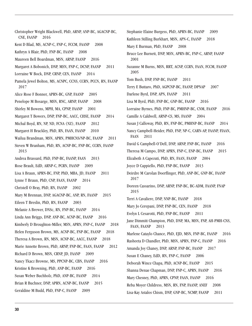Christopher Wright Blackwell, PhD, ARNP, ANP-BC, AGACNP-BC, CNE, FAANP 2016 Kent D Blad, MS, ACNP-C, FNP-C, FCCM, FAANP 2008 Kathryn A Blair, PhD, FNP-BC, FAANP 2008 Maureen Bell Boardman, MSN, ARNP, FAANP 2016 Margaret A Bobonich, DNP, MSN, FNP-C, DCNP, FAANP 2011 Lorraine W Bock, DNP, CRNP, CEN, FAANP 2014 Pamela Jewel Bolton, MS, ACNPC, CCNS, CCRN, PCCN, RN, FAANP 2017 Alice Rose F Bonner, APRN-BC, GNP, FAANP 2005 Penelope M Bosarge, MSN, RNC, ARNP, FAANP 2008 Shirley M Bowens, MPH, MA, CPNP, FAANP 2001 Margaret T Bowers, DNP, FNP-BC, AACC, CHSE, FAANP 2014 Michal Boyd, RN, NP, ND, FCNA (NZ), FAANP 2012 Margaret H Brackley, PhD, RN, FAAN, FAANP 2010 Wailua Brandman, MSN, APRN, PMHCNS/NP-BC, FAANP 2011 Steven W Branham, PhD, RN, ACNP-BC, FNP-BC, CCRN, FAANP 2013 Andrea Brassard, PhD, FNP-BC, FAANP, FAAN 2013 Rose Brault, EdD, ARNP-C, PCRN, FAANP 2009 Lisa A Braun, APRN-BC, FNP, PhD, MBA, JD, FAANP 2011 Lynne T Braun, PhD, CNP, FAAN, FAANP 2014 Christell O Bray, PhD, RN, FAANP 2002 Mary M Brennan, DNP, AGACNP-BC, ANP, RN, FAANP 2015 Eileen T Breslin, PhD, RN, FAANP 2003 Melanie A Brewer, DNSc, RN, FNP-BC, FAANP 2014 Linda Ann Briggs, DNP, ANP-BC, ACNP-BC, FAANP 2016 Kimberly D Broughton-Miller, MSN, APRN, FNP-C, FAANP 2018 Helen Ferguson Brown, MS, ACNP-BC, FNP-BC, FAANP 2018 Theresa A Brown, RN, MSN, ACNP-BC, AACC, FAANP 2018 Marie Annette Brown, PhD, ARNP, FNP-BC, FAAN, FAANP 2012 Richard D Brown, MSN, CRNP, JD, FAANP 2009 Nancy Tkacz Browne, MS, PPCNP-BC, CBN, FAANP 2016 Kristine K Browning, PhD, ANP-BC, FAANP 2016 Susan Weber Buchholz, PhD, ANP-BC, FAANP 2014 Brian R Buchner, DNP, APRN, ACNP-BC, FAANP 2015 Geraldine M Budd, PhD, FNP-C, FAANP 2009

Stephanie Elaine Burgess, PhD, APRN-BC, FAANP 2009 Kathleen Stilling Burkhart, MSN, APN-C, FAANP 2018 Mary E Burman, PhD, FAANP 2008 Bruce Lee Burnett, DNP, MSN, APRN-BC, FNP-C, ARNP, FAANP 2001 Suzanne M Burns, MSN, RRT, ACNP, CCRN, FAAN, FCCM, FAANP 2005 Tom Bush, DNP, FNP-BC, FAANP 2011 Terry E Buttaro, PhD, AGPCNP-BC, FAANP, DPNAP 2007 Darlene Byrd, DNP, APN, FAANP 2011 Lisa M Byrd, PhD, FNP-BC, GNP-BC, FAANP 2016 Lorraine Byrnes, PhD, FNP-BC, PMHNP-BC, CNM, FAANP 2016 Camille A Caldwell, ARNP-CS, MS, FAANP 2004 Susan J Calloway, PhD, RN, FNP-BC, PMHNP-BC, FAANP 2014 Nancy Campbell-Heider, PhD, FNP, NP-C, CARN-AP, FAANP, FIAAN, FAAN 2011 David G Campbell-O'Dell, DNP, ARNP, FNP-BC, FAANP 2016 Theresa M Campo, DNP, APRN, FNP-C, ENP-BC, FAANP 2015 Elizabeth A Capezuti, PhD, RN, FAAN, FAANP 2004 Joyce D Cappiello, PhD, FNP-BC, FAANP 2013 Deirdre M Carolan Doerflinger, PhD, ANP-BC, GNP-BC, FAANP 2017 Doreen Cassarino, DNP, ARNP, FNP-BC, BC-ADM, FAANP, FNAP 2015 Terri A Cavaliere, DNP, NNP-BC, FAANP 2018 Mary Jo Cerepani, DNP, FNP-BC, CEN, FAANP 2018 Evelyn L Cesarotti, PhD, FNP-BC, FAANP 2011 Jane Dimmitt Champion, PhD, DNP, MA, MSN, FNP, AH-PMH-CNS, FAAN, FAANP 2013 Marlene Cataylo Chance, PhD, EJD, MSN, FNP-BC, FAANP 2016 Rasheeta D Chandler, PhD, MSN, APRN, FNP-C, FAANP 2016 Amanda Joy Chaney, DNP, ARNP, FNP-BC, FAANP 2017 Susan E Chaney, EdD, RN, FNP-C, FAANP 2006 Deborah Wince Chapa, PhD, ACNP-BC, FAANP 2015 Shanna Denae Chapman, DNP, FNP-C, APRN, FAANP 2016 Mary Chesney, PhD, APRN, CPNP, FAAN, FAANP 2016 Reba Moyer Childress, MSN, RN, FNP, FAANP, ANEF 2008 Lisa-Kay Astalos Chism, DNP, GNP-BC, NCMP, FAANP 2011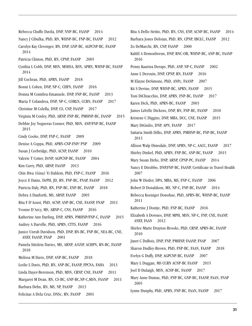Rebecca Chuffo Davila, DNP, NNP-BC, FAANP 2014 Nancy J Cibulka, PhD, RN, WHNP-BC, FNP-BC, FAANP 2012 Carolyn Kay Clevenger, RN, DNP, GNP-BC, AGPCNP-BC, FAANP 2014 Patricia Clinton, PhD, RN, CPNP, FAANP 2005 Cynthia L Cobb, DNP, MSN, MSHSA, BSN, APRN, WHNP-BC, FAANP 2014 Jill Cochran, PhD, APRN, FAANP 2018 Bonni L Cohen, DNP, NP-C, CHFN, FAANP 2016 Donna M Coimbra-Emanuele, DNP, FNP-BC, FAANP 2013 Maria T Colandrea, DNP, NP-C, CORLN, CCRN, FAANP 2017 Christine M Colella, DNP, CS, CNP, FAANP 2017 Virginia M Conley, PhD, ARNP, FNP-BC, PMHNP-BC, FAANP 2015 Debbie Joy Nogueras Conner, PhD, MSN, ANP/FNP-BC, FAANP 2015 Cindy Cooke, DNP, FNP-C, FAANP 2009 Denise A Coppa, PhD, APRN-CNP-FNP/ PNP 2009 Susan J Corbridge, PhD, ACNP, FAANP 2010 Valerie T Cotter, DrNP, AGPCNP-BC, FAANP 2004 Kim Curry, PhD, ARNP, FAANP 2013 Chin Hwa (Gina) Yi Dahlem, PhD, FNP-C, FAANP 2016 Joyce E Dains, DrPH, JD, RN, FNP-BC, FNAP, FAANP 2012 Patricia Daly, PhD, RN, FNP-BC, ENP-BC, FAANP 2018 Debra A Danforth, MS, ARNP, FAANP 2005 Rita F D'Aoust, PhD, ACNP, ANP-BC, CNE, FAANP, FNAP 2011 Yvonne D'Arcy, MS, ARNP-C, CNS, FAANP 2016 Katherine Ann Darling, DNP, APRN, PMHNP/FNP-C, FAANP 2015 Audrey A Darville, PhD, APRN, CTTS, FAANP 2016 Janice Unruh Davidson, PhD, DNP, RN-BC, FNP-BC, NEA-BC, CNE, ANEF, FAANP, FNAP 2001 Pamela Stitzlein Davies, MS, ARNP, A/GNP, ACHPN, RN-BC, FAANP 2018 Melissa M Davis, DNP, ANP-BC, FAANP 2018 Leslie L Davis, PhD, RN, ANP-BC, FAANP, FPCNA, FAHA 2013 Linda Dayer-Berenson, PhD, MSN, CRNP, CNE, FAANP 2011 Margaret M Dean, RN, CS-BC, GNP-BC,NP-C,MSN, FAANP 2011 Barbara Dehn, RN, MS, NP, FAANP 2013 Felicitas A Dela Cruz, DNSc, RN, FAANP 2001

Rita A Dello Stritto, PhD, RN, CNS, ENP, ACNP-BC, FAANP 2014 Barbara Jones Deloian, PhD, RN, CPNP, IBCLC, FAANP 2012 Zo DeMarchi, RN, CNP, FAANP 2000 Kahlil A Demonbreun, DNP, RNC-OB, WHNP-BC, ANP-BC, FAANP 2016 Penny Kaarina Deraps, PhD, ANP, NP-C, FAANP 2002 Anne L Derouin, DNP, CPNP, RN, FAANP 2016 M Elayne DeSimone, PhD, ANPc, FAANP 2007 Kit S Devine, DNP, WHNP-BC, APRN, FAANP 2015 Toni DiChiacchio, DNP, APRN, FNP-BC, FAANP 2017 Karen Dick, PhD, APRN-BC, FAANP 2003 James LaVelle Dickens, DNP, RN, FNP-BC, FAANP 2010 Kristene C Diggins, DNP, MBA, DCC, CNE, FAANP 2015 Mary DiGiulio, DNP, APN, FAANP 2017 Sattaria Smith Dilks, DNP, APRN, PMHNP-BC, FNP-BC, FAANP 2013 Allison Walp Dimsdale, DNP, APRN, NP-C, AACC, FAANP 2017 Shirley Dinkel, PhD, APRN, FNP-BC, ANP-BC, FAANP 2015 Mary Susan Dirks, DNP, ARNP, CPNP-PC, FAANP 2014 Nancy E Dirubbo, DNP,FNP-BC, FAANP, Certificate in Travel Health 2007 John W Distler, DPA, MBA, MS, FNP-C, FAANP 2006 Robert D Donaldson, MS, NP-C, FNP-BC, FAANP 2014 Rebecca Koeniger Donohue, PhD, APRN-BC, WHNP-BC, FAANP 2011 Katherine J Dontje, PhD, FNP-BC, FAANP 2016 Elizabeth A Downes, DNP, MPH, MSN, NP-C, FNP, CNE, FAANP, ANEF, FAAN 2012 Shirlee Marie Drayton-Brooks, PhD, CRNP, APRN-BC, FAANP 2010 Janet C DuBois, DNP, FNP, PMHNP, FAANP, FNAP 2007 Sharon Dudley-Brown, PhD, FNP-BC, FAAN, FAANP 2018 Evelyn G Duffy, DNP, AGPCNP-BC, FAANP 2007 Mary L Duggan, MS CCRN ACNP-BC FAANP 2015 Joel D Dulaigh, MSN, ACNP-BC, FAANP 2017 Mary Anne Dumas, PhD, FNP-BC, GNP-BC, FAANP, FAAN, FNAP 2005 Lynne Dunphy, PhD, APRN, FNP-BC, FAAN, FAANP 2017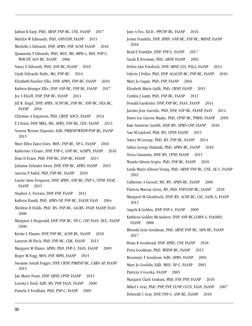Jaibun K Earp, PhD, ARNP, FNP-BC, CNE, FAANP 2017 Marilyn W Edmunds, PhD, ANP/GNP, FAANP 2015 Michelle L Edwards, DNP, APRN, FNP, ACNP, FAANP 2016 Quannetta T Edwards, PhD, MSN, MS, MPH-c, BSN, FNP-C, WHCNP, AGN-BC, FAANP 2006 Nancy E Edwards, PhD, ANP-BC, FAANP 2018 Cindy Edwards-Tuttle, MA, FNP-BC 2014 Elizabeth Fuselier Ellis, DNP, APRN, FNP-BC, FAANP 2010 Kathryn Krueger Ellis, DNP, ANP-BC, FNP-BC, FAANP 2017 Joy S Elwell, DNP, FNP-BC, FAANP 2011 Jill R. Engel, DNP, APRN, ACNP-BC, FNP-BC, ANP-BC, NEA-BC, FAANP 2016 Christine A Engstrom, PhD, CRNP, AOCN, FAANP 2014 E J Ernst, DNP, MBA, MS, APRN, FNP-BC, CEN, FAANP 2013 Noreen Werner Esposito, EdD, PMHNP/WHNP/FNP-BC, FAANP 2015 Mary Ellen Zator Estes, MSN, FNP-BC, NP-C, FAANP 2016 Katherine A Evans, DNP, FNP-C, GNP-BC, ACHPN, FAANP 2016 Dian D Evans, PhD, FNP-BC, ENP-BC, FAANP 2015 Julianne Zehnder Ewen, DNP, FNP-BC, APRN, FAANP 2015 Anecita P Fadol, PhD, FNP-BC, FAANP 2010 Laurie Anne Ferguson, DNP, APRN, ANP-BC, FNP-C, CPNP, FNAP, FAANP 2015 Stephen A. Ferrara, DNP, FNP, FAANP 2013 Kathryn Fiandt, PhD, APRN-NP, FNP-BC, FAANP, FAAN 2004 Sheldon D Fields, PhD, RN, FNP-BC, AACRN, FNAP, FAANP, FAAN 2006 Margaret A Fitzgerald, DNP, FNP-BC, NP-C, CSP, FAAN, DCC, FAANP 2000 Kristie L Flamm, DNP, FNP-BC, ACNP-BC, FAANP 2018 Laureen M Fleck, PhD, FNP-BC, CDE, FAANP 2013 Margaret M Flinter, APRN, PhD, FNP-C, FAAN, FAANP 2009 Roger M Fogg, MSN, FNP, MPH, FAANP 2015 Susanne Astrab Fogger, DNP, CRNP, PMHNP-BC, CARN-AP, FAANP 2015 Jan Marie Foote, DNP, ARNP, CPNP, FAANP 2015 Loretta C Ford, EdD, RN, PNP, FAAN, FAANP 2000 Pamela N Fordham, PhD, FNP-C, FAANP 2009

JoAnn Franklin, DNP, APRN, GNP-BC, FNP-BC, MHNP, FAANP 2016 Brad E Franklin, DNP, FNP-C, FAANP 2017 Sarah B Freeman, PhD, ARNP, FAANP 2001 Debra Ann Friedrich, DNP, ARNP, CLS, FNLA, FAANP 2014 Valerie J Fuller, PhD, DNP, AGACNP-BC, FNP-BC, FAANP 2016 Mary Jo Gagan, PhD, FNP, FAANP 2004 Elizabeth Marie Galik, PhD, CRNP, FAANP 2015 Cynthia J Gantt, PhD, FNP-BC, FAANP 2012 Donald Gardenier, DNP, FNP-BC, FAAN, FAANP 2014 Jacinto Jose Garrido, PhD, DNP, ANP-BC, FAANP, FAAN 2014 Dawn Lee Garzon Maaks, PhD, CPNP-BC, PMHS, FAANP 2009 Kate Sustersic Gawlik, DNP, RN, APRN-CNP, FAANP 2018 Nan M Gaylord, PhD, RN, CPNP, FAANP 2015 Nancy M George, PhD, RN, FNP-BC, FAANP 2014 Safiya George Dalmida, PhD, APRN-BC, FAANP 2018 Terea Giannetta, DNP, RN, CPNP, FAANP 2015 Wanda Gibson-Scipio, PhD, FNP-BC, FAANP 2018 Linda Marie Gibson-Young, PhD, ARNP, FNP-BC, CNE, AE-C, FAANP 2003 Catherine A Giessel, MS, RN, APRN-BC, FAANP 2006 Patricia Murray Given, RN, PhD, FNP/GNP-BC, FAANP 2018 Margaret M Glembocki, DNP, RN, ACNP-BC, CSC, SANE-A, FAANP 2013 Angela K Golden, DNP, FNP-C, FAANP 2009 Kathleen Golden McAndrew, DNP, ANP-BC,COHN-S, FAAOHN, FAANP 2006 Rhonda Lynn Goodman, PhD, ARNP, FNP-BC, AHN-BC, FAANP 2017 Brian K Goodroad, DNP, APRN, CNP, FAANP 2018 Petra Goodman, PhD, WHNP-BC, FAANP 2015 Rosemary T Goodyear, EdD, APRN, FAANP 2001 Mary Jo Goolsby, EdD, MSN, NP-C, FAANP 2002 Patricia A Gorzka, FAANP 2005 Margaret Clark Graham, PhD, FNP, PNP, FAANP 2010

Jane A Fox, Ed.D., PPCNP-BC, FAANP 2016

Mikel L Gray, PhD, PNP, FNP, CUNP, CCCN, FAAN, FAANP 2007

Deborah C Gray, DNP, FNP-C, ANP-BC, FAANP 2018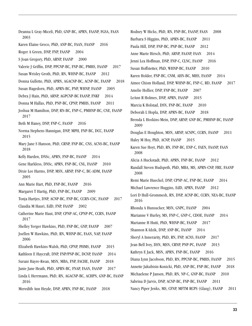Deanna L Gray-Miceli, PhD, GNP-BC, APRN, FAANP, FGSA, FAAN 2003 Karen Elaine Greco, PhD, ANP-BC, FAAN, FAANP 2016 Roger A Green, DNP, FNP, FAANP 2004 S Joan Gregory, PhD, ARNP, FAANP 2000 Valerie J Griffin, DNP, PPCNP-BC, FNP-BC, PMHS, FAANP 2017 Susan Wrisley Groth, PhD, RN, WHNP-BC, FAANP 2012 Donna Gullette, PhD, APRN, AGACNP-BC, ACNP-BC, FAANP 2018 Susan Hagedorn, PhD, APRN-BC, PNP, WHNP, FAANP 2005 Debra J Hain, PhD, ARNP, AGPCNP-BC FAANP, FNKF 2014 Donna M Hallas, PhD, PNP-BC, CPNP, PMHS, FAANP 2011 Joshua M Hamilton, DNP, RN-BC, FNP-C, PMHNP-BC, CNE, FAANP 2017 Beth M Haney, DNP, FNP-C, FAANP 2016 Norma Stephens Hannigan, DNP, MPH, FNP-BC, DCC, FAANP 2015 Mary Jane S Hanson, PhD, CRNP, FNP-BC, CNS, ACNS-BC, FAANP 2018 Kelly Harden, DNSc, APRN, FNP-BC, FAANP 2014 Gene Harkless, DNSc, APRN, FNP-BC, CNL, FAANP 2010 Dixie Lee Harms, DNP, MSN, ARNP, FNP-C, BC-ADM, FAANP 2005 Ann Marie Hart, PhD, FNP-BC, FAANP 2016 Margaret T Hartig, PhD, FNP-BC, FAANP 2009 Tonja Hartjes, DNP, ACNP-BC, FNP-BC, CCRN-CSC, FAANP 2017 Claudia M Hauri, EdD, FNP, FAANP 2002 Catherine Marie Haut, DNP, CPNP-AC, CPNP-PC, CCRN, FAANP 2017 Shelley Yerger Hawkins, PhD, FNP-BC, GNP, FAANP 2007 Joellen W Hawkins, PhD, RN, WHNP-BC, FAAN, NAP, FAANP 2006 Elizabeth Hawkins-Walsh, PhD, CPNP, PHMS, FAANP 2015 Kathleen E Havcraft, DNP, FNP/PNP-BC, DCNP, FAANP 2014 Surani Hayre-Kwan, MSN, MBA, FNP, FACHE, FAANP 2018 Janie Jane Heath, PhD, APRN-BC, FNAP, FAAN, FAANP 2017 Linda L Herrmann, PhD, RN, AGACNP-BC, ACHPN, GNP-BC, FAANP 2016 Meredith Ann Heyde, DNP, APRN, FNP-BC, FAANP 2018

Rodney W Hicks, PhD, RN, FNP-BC, FAANP, FAAN 2008 Barbara S Higgins, PhD, APRN-BC, FAANP 2011 Paula Hill, DNP, FNP-BC, PNP-BC, FAANP 2012 Anne Marie Hirsch, PhD, ARNP, FAANP, FAAN 2014 Jenni Lea Hoffman, DNP, FNP-C, CLNC, FAANP 2016 Susan Hoffstetter, PhD, WHNP-BC, FAANP 2010 Karen Holder, FNP-BC, CNM, AHN-BC, MHS, FAANP 2014 Aimee Chism Holland, DNP, WHNP-BC, FNP-C, RD, FAANP 2017 Amelie Hollier, DNP, FNP-BC, FAANP 2007 LeAnn R Holmes, DNP, APRN, FAANP 2015 Marcia K Holstad, DSN, FNP-BC, FAANP 2010 Deborah L Hopla, DNP, APRN-BC, FAANP 2018 Brenda L Hoskins-Mein, DNP, ARNP, GNP-BC, PMHNP-BC, FAANP 2009 Douglas E Houghton, MSN, ARNP, ACNPC, CCRN, FAANP 2011 Haley M Hoy, PhD, ACNP, FAANP 2015 Karen Sue Hoyt, PhD, RN, FNP-BC, ENP-C, FAEN, FAANP, FAAN 2008 Alicia A Huckstadt, PhD, APRN, FNP-BC, FAANP 2012 Randall Steven Hudspeth, PhD, MBA, MS, APRN-CNP, FRE, FAANP 2008 Remi Marie Hueckel, DNP, CPNP-AC, FNP-BC, FAANP 2014 Michael Lawrence Huggins, EdD, APRN, FAANP 2012 Lori D Hull-Grommesh, RN, DNP, ACNP-BC, CCRN, NEA-BC, FAANP 2016 Rhonda A Hunsucker, MSN, GNPC, FAANP 2004 Marianne V Hurley, MS, FNP-C, GNP-C, CDOE, FAANP 2014 Marianne H Hutti, PhD, WHNP-BC, FAANP 2017 Shannon K Idzik, DNP, ANP-BC, FAANP 2014 Sheryl A Innerarity, PhD, RN, FNP, ACNS, FAANP 2017 Jean Bell Ivey, DSN, MSN, CRNP, PNP-PC, FAANP 2013 Kathryn E Jack, MSN, APRN, FNP-BC, FAANP 2016 Diana Lynn Jacobson, PhD, RN, PPCNP-BC, PMHS, FAANP 2015 Annette Jakubisin-Konicki, PhD, ANP-BC, FNP-BC, FAANP 2018 Michaelene P Jansen, PhD, RN, NP-C, GNP-BC, FAANP 2010 Sabrina D Jarvis, DNP, ACNP-BC, FNP-BC, FAANP 2011 Nancy Piper Jenks, MS, CFNP, MFTM RCPS (Glasg), FAANP 2011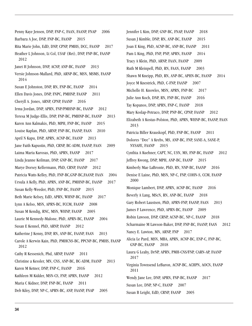Penny Kaye Jensen, DNP, FNP-C, FAAN, FAANP, FNAP 2006 Barbara A Joe, DNP, FNP-BC, FAANP 2015 Rita Marie John, EdD, DNP, CPNP, PMHS, DCC, FAANP 2017 Heather L Johnson, Lt Col, USAF (Ret), DNP, FNP-BC, FAANP 2012 Janet H Johnson, DNP, ACNP, ANP-BC, FAANP 2013 Versie Johnson-Mallard, PhD, ARNP-BC, MSN, MSMS, FAANP 2014 Susan E Johnston, DNP, RN, FNP-BC, FAANP 2014 Ellen Davis Jones, DNP, FNPC, PMHNP, FAANP 2011 Cheryll A. Jones, ARNP, CPNP, FAANP 2016 Irma Jordan, DNP, APRN, FNP/PMHNP-BC, FAANP 2012 Teresa M Judge-Ellis, DNP, FNP-BC, PMHNP-BC, FAANP 2013 Karen Ann Kalmakis, PhD, MPH, FNP-BC, FAANP 2015 Louise Kaplan, PhD, ARNP, FNP-BC, FAANP, FAAN 2010 April N Kapu, DNP, APRN, ACNP-BC, FAANP 2013 Jane Faith Kapustin, PhD, CRNP, BC-ADM, FAANP, FAAN 2009 Laima Maria Karosas, PhD, APRN, FAANP 2017 Linda Jeanne Keilman, DNP, GNP-BC, FAANP 2017 Marye Dorsey Kellermann, PhD, CRNP, FAANP 2012 Patricia Watts Kelley, PhD, FNP-BC, GNP-BC, FAANP, FAAN 2004 Ursula A Kelly, PhD, APRN, ANP-BC, PMHNP-BC, FAANP 2017 Susan Kelly-Weeder, PhD, FNP-BC, FAANP 2015 Beth Marie Kelsey, EdD, APRN, WHNP-BC, FAANP 2017 Lynn A Kelso, MSN, APRN-BC, FCCM, FAANP 2008 Susan M Kendig, RNC, MSN, WHNP, FAANP 2005 Laurie M Kennedy-Malone, PhD, APRN-BC, FAANP 2004 Susan E Kennel, PhD, ARNP, FAANP 2012 Katherine J Kenny, DNP, RN, ANP-BC, FAANP, FAAN 2013 Carole A Kerwin Kain, PhD, PMHCNS-BC, PPCNP-BC, PMHS, FAANP 2012 Cathy R Kessenich, Phd, ARNP, FAANP 2011 Christine a Kessler, MN, CNS, ANP-BC, BC-ADM, FAANP 2013 Karen M Ketner, DNP, FNP-C, FAANP 2016 Kathleen M Kidder, MSN-CS, FNP, APRN, FAANP 2012 Maria C Kidner, DNP, FNP-BC, FAANP 2011 Deb Kiley, DNP, NP-C, APRN-BC, ANP, FAANP, FNAP 2005

Jennifer L Kim, DNP, GNP-BC, FNAP, FAANP 2018 Susan J Kimble, DNP, RN, ANP-BC, FAANP 2015 Joan E King, PhD, ACNP-BC, ANP-BC, FAANP 2011 Pam L King, PhD, FNP, PNP, APRN, FAANP 2014 Tracy A Klein, PhD, ARNP, FAAN, FAANP 2009 Ruth M Kleinpell, PhD, RN, FAAN, FAANP 2003 Shawn M Kneipp, PhD, RN, ANP-BC, APHN-BC, FAANP 2014 Joyce M Knestrick, PhD, C-FNP, FAANP 2007 Michelle H. Knowles, MSN, APRN, FNP-BC 2017 Julie Ann Koch, DNP, RN, FNP-BC, FAANP 2016 Tay Kopanos, DNP, APRN, FNP-C, FAANP 2018 Mary Koslap-Petraco, DNP, PNP-BC, CPNP, FAANP 2012 Elizabeth A Kostas-Polston, PhD, APRN, WHNP-BC, FAANP, FAAN 2013 Patricia Biller Krauskopf, PhD, FNP-BC, FAANP 2011 Dolores "Dee" A Krebs, MS, ANP-BC, FNP, SANE-A, SANE-P, NYSAFE, FAANP 2015 Cynthia A Kuehner, CAPT, NC, USN, MS, FNP-BC, FAANP 2012 Jeffrey Kwong, DNP, MPH, ANP-BC, FAANP 2015 Kimberly Mae LaBronte, PhD, RN, NNP-BC, FAANP 2016 Denise E Laine, PhD, MSN, NP-C, FNP, COHN-S, CCM, FAANP 2000 Monique Lambert, DNP, APRN, ACNP-BC, FAANP 2016 Beverly A Lang, MScN, RN, ANP-BC, FAANP 2018 Gary Robert Laustsen, PhD, APRN-FNP, FAANP, FAAN 2013 James F Lawrence, PhD, APRN-BC, FAANP 2009 Robin Lawson, DNP, CRNP, ACNP-BC, NP-C, FAANP 2018 Scharmaine M Lawson-Baker, DNP, FNP-BC, FAANP, FAAN 2012 Nancy E. Lawton, MN, ARNP, FNP 2017 Alicia Le Pard, MSN, MBA, APRN, ACNP-BC, ENP-C, FNP-BC, GNP-BC, FAANP 2018 Laura G Leahy, DrNP, APRN, PMH-CNS/FNP, CARN-AP, FAANP 2017 Virginia Townsend LeBaron, ACNP-BC, ACHPN, AOCN, FAANP 2011 Wendy Jane Lee, DNP, APRN, FNP-BC, FAANP 2017 Susan Lee, DNP, NP-C, FAANP 2007

Susan B Leight, EdD, CRNP, FAANP 2005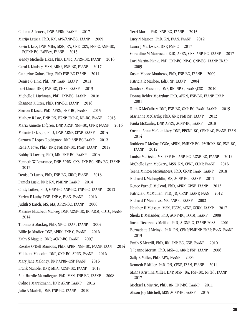Colleen A Leners, DNP, APRN, FAANP 2017 Marijo Letizia, PhD, RN, APN/ANP-BC, FAANP 2009 Kevin L Letz, DNP, MBA, MSN, RN, CNE, CEN, FNP-C, ANP-BC, PCPNP-BC, FAPPex, FAANP 2015 Wendy Michelle Likes, PhD, DNSc, APRN-BC, FAANP 2016 Carol L Lindsey, MSN, ARNP, FNP-BC, FAANP 2017 Catherine Gaines Ling, PhD FNP-BC FAANP 2014 Denise G Link, PhD, NP, FAAN, FAANP 2013 Lori Lioce, DNP, FNP-BC, CHSE, FAANP 2013 Michelle L Litchman, PhD, FNP-BC, FAANP 2016 Shannon K Lizer, PhD, FNP-BC, FAANP 2016 Sharon E Lock, PhD, APRN, FNP-BC, FAANP 2015 Mathew R Loe, DNP, RN, ERNP, FNP-C, NE-BC, FAANP 2015 Maria Annette Lofgren, DNP, ARNP, NNP-BC, CPNP, FAANP 2016 Melanie D Logue, PhD, DNP, ARNP, CFNP, FAANP 2014 Carmen T Lopez Rodriguez, DNP ANP BC FAANP 2012 Rene A Love, PhD, DNP, PMHNP-BC, FNAP, FAANP 2015 Bobby D Lowery, PhD, MN, FNP-BC, FAANP 2014 Kenneth W Lowrance, DNP, APRN, CNS, FNP-BC, NEA-BC, FAANP 2017 Denise D Lucas, PhD, FNP-BC, CRNP, FAANP 2018 Pamela Lusk, DNP, RN, PMHNP, FAANP 2014 Cindy Luther, PhD, GNP-BC, ANP-BC, FNP-BC, FAANP 2012 Karlen E Luthy, DNP, FNP-c, FAAN, FAANP 2016 Judith S Lynch, MS, MA, APRN-BC, FAANP 2000 Melanie Elizabeth Mabrey, DNP, ACNP-BC, BC-ADM, CDTC, FAANP 2014 Thomas A Mackey, PhD, NP-C, FAAN, FAANP 2004 Billie Jo Madler, DNP, APRN, FNP-C, FAANP 2016 Kathy S Magdic, DNP, ACNP-BC, FAANP 2007 Rosalie O'Dell Mainous, PhD, APRN, NNP-BC, FAANP, FAAN 2014 Millicent Malcolm, DNP, GNP-BC, APRN, FAANP 2016 Mary Jane Maloney, DNP APRN-CNP FAANP 2016 Frank Manole, DNP, MBA, ACNP-BC, FAANP 2015 Ann Hurdle Maradiegue, PhD, MSN, FNP-BC, FAANP 2008 Cydne J Marckmann, DNP, ARNP, FAANP 2013 Julie A Marfell, DNP, FNP-BC, FAANP 2010

Terri Marin, PhD, NNP-BC, FAANP 2015 Lucy N Marion, PhD, RN, FAAN, FAANP 2012 Laura J Markwick, DNP, FNP-C 2017 Geraldine M Marrocco, EdD, APRN, CNS, ANP-BC, FAANP 2017 Lori Martin-Plank, PhD, FNP-BC, NP-C, GNP-BC, FAANP, FNAP 2009 Susan Moore Matthews, PhD, FNP-BC, FAANP 2009 Patricia R Maybee, EdD, NP, FAANP 2004 Sandra C Mazzone, DNP, RN, NP-C, FAANP,CSC 2010 Donna Behler McArthur, PhD, APRN, FNP-BC, FAANP, FNAP 2001 Ruth G McCaffrey, DNP, FNP-BC, GNP-BC, FAAN, FAANP 2015 Marianne McCarthy, PhD, GNP, PMHNP, FAANP 2012 Paula McCauley, DNP, APRN, ACNP-BC, FAANP 2018 Carmel Anne McComiskey, DNP, PPCNP-BC, CPNP-AC, FAANP, FAAN 2014 Kathleen T McCoy, DNSc, APRN, PMHNP-BC, PMHCNS-BC, FNP-BC, FAANP 2012 Louise McDevitt, MS, FNP-BC, ANP-BC, ACNP-BC, FAANP 2012 MiChelle Lynn McGarry, MSN, RN, CPNP, CUNP, FAANP 2016 Teena Minton McGuinness, PhD, CRNP, FAAN, FAANP 2018 Richard L McLaughlin, MS, ACNP-BC, FAANP 2011 Renee Parnell McLeod, PhD, APRN, CPNP, FAANP 2012 Patricia C McMullen, PhD, JD, CRNP, FAANP, FAAN 2012 Richard F Meadows, MS, ANP-C, FAANP 2002 Heather H Meissen, MSN, FCCM, ACNP, CCRN, FAANP 2017 Sheila D Melander, PhD, ACNP-BC, FCCM, FAANP 2008 Karen Devereaux Melillo, PhD, A-GNP-C, FAANP, FGSA 2001 Bernadette J Melnyk, PhD, RN, CPNP/PMHNP, FNAP, FAAN, FAANP 2013 Emily S Merrill, PhD, RN, FNP, BC, CNE, FAANP 2010 T Jeanne Merritt, PhD, MSN-C, ARNP, FNP, FAANP 2006 Sally K Miller, PhD, APN, FAANP 2004 Kenneth P Miller, PhD, RN, CFNP, FAAN, FAANP 2014 Minna Kristiina Miller, DNP, MSN, BA, FNP-BC, NP(F), FAANP 2017 Michael L Mistric, PhD, RN, FNP-BC, FAANP 2011

Alison Joy Mitchell, MSN ACNP-BC FAANP 2015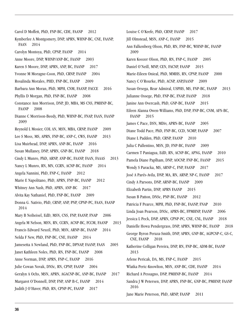Carol D Moffett, PhD, FNP-BC, CDE, FAANP 2012 Kymberlee A Montgomery, DNP, APRN, WHNP-BC, CNE, FAANP, FAAN 2014 Carolyn Montoya, PhD, CPNP, FAANP 2014 Anne Moore, DNP, WHNP/ANP-BC, FAANP 2003 Karen S Moore, DNP, APRN, ANP, BC, FAANP 2017 Yvonne M Moragne-Coon, PhD, CRNP, FAANP 2004 Rosalinda Morales, PHD, FNP-BC, FAANP 2009 Barbara Ann Moran, PhD, MPH, CNM, FAANP, FACCE 2016 Phyllis D Morgan, PhD, FNP-BC, FAANP 2008 Constance Ann Morrison, DNP, JD, MBA, MS CNS, PMHNP-BC, FAANP 2008 Dianne C Morrison-Beedy, PhD, WHNP-BC, FNAP, FAAN, FAANP 2009 Reynold L Mosier, COL AN, MSN, MBA, CRNP, FAANP 2009 Lee S Moss, MS, APRN, FNP-BC, ANP-C, CWS, FAANP 2013 Lisa Muirhead, DNP, APRN, ANP-BC, FAANP 2016 Susan Mullaney, DNP, APRN, GNP-BC, FAANP 2018 Cindy L Munro, PhD, ARNP, ANP-BC, FAANP, FAAN, FAAAS 2013 Nancy L Munro, RN, MN, CCRN, ACNP-BC, FAANP 2014 Angela Nannini, PhD, FNP-C, FAANP 2012 Marie E Napolitano, PhD, APRN, FNP-BC, FAANP 2012 Whitney Ann Nash, PhD, APRN, ANP-BC 2017 Alvita Kay Nathaniel, PhD, FNP-BC, FAANP 2009 Donna G. Nativio, PhD, CRNP, ANP, PNP, CPNP-PC, FAAN, FAANP 2014 Mary B Neiheisel, EdD, MSN, CNS, FNP, FAANP, FNAP 2006 Angela M Nelson, MSN, RN, CCRN, ACNP-BC, FCCM, FAANP 2013 Francis Edward Neuzil, PhD, MSN, ARNP-BC, FAANP 2014 Nelda F New, PhD, FNP-BC, CNE, FAANP 2014 Jamesetta A Newland, PhD, FNP-BC, DPNAP, FAANP, FAAN 2005 Janet Kathleen Noles, PhD, RN, FNP-BC, FAANP 2008 Anne Norman, DNP, APRN, FNP-C, FAANP 2016 Julie Cowan Novak, DNSc, RN, CPNP, FAANP 2004 Geralyn A Ochs, MSN, APRN, AGACNP-BC, ANP-BC, FAANP 2017 Margaret O'Donnell, DNP, FNP, ANP B-C, FAANP 2014 Judith J O'Haver, PhD, RN, CPNP-PC, FAANP 2017

Louise C O'Keefe, PhD, CRNP, FAANP 2017 Jill Olmstead, MSN, ANP-C, FAANP 2015 Ann Falkenberg Olson, PhD, RN, FNP-BC, WHNP-BC, FAANP 2009 Karen Koozer Olson, PhD, RN, FNP-C, FAANP 2005 Daniel O'Neill, MNP, CEN, FACNP, FAANP 2015 Marie-Eileen Onieal, PhD, MMHS, RN, CPNP, FAANP 2000 Nancy C O'Rourke, PhD, ACNP, ANP, FAANP 2009 Susan Orsega, Rear Admiral, USPHS, MS, FNP-BC, FAANP 2013 Julianne Ossege, PhD, FNP-BC, FNAP, FAANP 2018 Janine Ann Overcash, PhD, GNP-BC, FAANP 2015 Eileen Alanna Owen-Williams, PhD, DNP, FNP-BC, CNM, AFN-BC, FAANP 2015 James C Pace, DSN, MDiv, APRN-BC, FAANP 2005 Diane Todd Pace, PhD, FNP-BC, CCD, NCMP, FAANP 2007 Diane L Padden, PhD, CRNP, FAANP 2010 Julia C Pallentino, MSN, JD, FNP-BC, FAANP 2009 Carmen T Paniagua, EdD, RN, ACNP-BC, APNG, FAANP 2010 Pamela Diane Paplham, DNP, AOCNP, FNP-BC, FAANP 2015 Wendy S Paracka, MS, ARNP-C, FNP, FAANP 2017 José A Parés-Avila, DNP, MA, RN, ARNP, NP-C, FAANP 2017 Cindy A Parsons, DNP, ARNP-BC, FAANP 2009 Elizabeth Partin, DNP, APRN FAANP 2015 Susan B Patton, DNSc, PNP-BC, FAANP 2012 Patricia F Pearce, MPH, PhD, FNP-BC, FAANP, FNAP 2010 Linda Joan Pearson, DNSc, APRN-BC, FPMHNP, FAANP 2006 Jessica L Peck, DNP, APRN, CPNP-PC, CNE, CNL, FAANP 2018 Danielle Howa Pendergrass, DNP, APRN, WHNP-BC, FAANP 2018 George Byron Peraza-Smith, DNP, APRN, GNP-BC, AGPCNP-C, GS-C, CNE, FAANP 2018 Katherine Colligan Pereira, DNP, RN, FNP-BC, ADM-BC, FAANP 2013 Arlene Pericak, DA, MS, FNP-C, FAANP 2015 Wlatka Peric-Knowlton, MSN, ANP-BC, CDE, FAANP 2014 Richard A Pessagno, DNP, PMHNP-BC, FAANP 2014 Sandra J W Petersen, DNP, APRN, FNP-BC, GNP-BC, PMHNP, FAANP 2016 Jane Marie Peterson, PhD, ARNP, FAANP 2011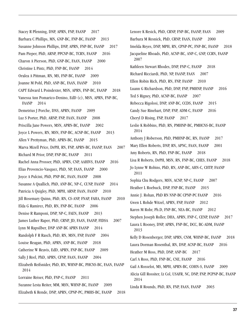Stacey R Pfenning, DNP, APRN, FNP, FAANP 2017 Barbara C Phillips, MN, GNP-BC, FNP-BC, FAANP 2013 Susanne Johnson Phillips, DNP, APRN, FNP-BC, FAANP 2017 Pam Pieper, PhD, ARNP, PPCNP-BC, TCRN, FAANP 2016 Charon A Pierson, PhD, GNP-BC, FAAN, FAANP 2000 Christine L Pintz, PhD, FNP-BC, FAANP 2014 Oralea A Pittman, RN, MS, FNP-BC, FAANP 2009 Joanne M Pohl, PhD, ANP-BC, FAAN, FAANP 2010 CAPT Edward L Poindexter, MSN, APRN, FNP-BC, FAANP 2018 Vanessa Ann Pomarico-Denino, EdD (c), MSN, APRN, FNP-BC, FAANP 2014 Demetrius J Porche, DNS, APRN, FAANP 2009 Luz S Porter, PhD, ARNP, FNP, FAAN, FAANP 2008 Priscilla Jane Powers, MSN, APRN-BC, FAANP 2002 Joyce L Powers, RN, MSN, FNP-BC, ACNP-BC, FAANP 2013 Allen V Prettyman, PhD, APRN-BC, FAANP 2015 Marva Mizell Price, DrPH, RN, FNP, APRN-BC, FAANP, FAAN 2007 Richard M Prior, DNP, FNP-BC, FAANP 2011 Rachel Anna Prosser, PhD, APRN, CNP, AAHIVS, FAANP 2016 Elias Provencio-Vasquez, PhD, NP, FAAN, FAANP 2000 Joyce A Pulcini, PhD, PNP-BC, FAAN, FAANP 2008 Susanne A Quallich, PhD, ANP-BC, NP-C, CUNP, FAANP 2014 Patricia A Quigley, PhD, MPH, ARNP, FAAN, FAANP 2010 Jill Rosemary Quinn, PhD, RN, CS-ANP, FNAP, FAHA, FAANP 2010 Elda G Ramirez, PhD, RN, FNP-BC, FAANP 2006 Denise R Ramponi, DNP, NP-C, FAEN, FAANP 2013 James Luther Raper, PhD, CRNP, JD, FAAN, FAANP, FIDSA 2007 Lynn M Rapsilber, DNP ANP-BC APRN FAANP 2014 Randolph F R Rasch, PhD, RN, MSN, FNP, FAANP 2004 Louise Reagan, PhD, APRN, ANP-BC, FAANP 2018 Catherine W Reavis, EdD, APRN, FNP-BC, FAANP 2009 Sally J Reel, PhD, APRN, CFNP, FAAN, FAANP 2004 Elizabeth Reifsnider, PhD, RN, WHNP-BC, PHCNS-BC, FAAN, FAANP 2014 Lorraine Reiser, PhD, FNP-C, FAANP 2011 Suzanne Lesta Reiter, MM, MSN, WHNP-BC, FAANP 2009 Elizabeth K Rende, DNP, APRN, CPNP-PC, PMHS-BC, FAANP 2018 Lenore K Resick, PhD, CRNP, FNP-BC, FAANP, FAAN 2009 Barbara M Resnick, PhD, CRNP, FAAN, FAANP 2000 Imelda Reyes, DNP, MPH, RN, CPNP-PC, FNP-BC, FAANP 2018 Jacqueline Rhoads, PhD, ACNP-BC, ANP-C, GNP, CCRN, FAANP 2007 Kathleen Stewart Rhodes, DNP, FNP-C, FAANP 2018 Richard Ricciardi, PhD, NP, FAANP, FAAN 2007 Ellen Robin Rich, PhD, RN, FNP, FAANP 2010 Luann G Richardson, PhD, DNP, FNP, PMHNP, FAANP 2016 Ted S Rigney, PhD, ACNP-BC, FAANP 2007 Rebecca Rigolosi, DNP, ANP-BC, CCDS, FAANP 2015 Candy Sue Rinehart, DNP, FNP, ADM-C, FAANP 2016 Cheryl D Rising, FNP, FAANP 2017 Leslie K Robbins, PhD, RN, PMHNP-BC, PMHCNS-BC, FAANP 2014 Anthony J Roberson, PhD, PMHNP-BC, RN, FAANP 2017 Mary Ellen Roberts, DNP, RN, APNC, FAAN, FAANP 2001 Amy Roberts, RN, PhD, FNP-BC, FAANP 2018 Lisa R Roberts, DrPH, MSN, RN, FNP-BC, CHES, FAANP 2018 Jo Lynne W Robins, PhD, RN, ANP-BC, AHN-C, CHTP, FAANP 2011 Sophia Chu Rodgers, MSN, ACNP, NP-C, FAANP 2007 Heather L Roebuck, DNP, FNP-BC, FAANP 2015 Annie J. Rohan, PhD RN NNP-BC CPNP-PC FAANP 2016 Gwen L Rohde Witzel, APRN, FNP, FAANP 2012 Karen M Rohr, Ph.D, FNP-BC, NEA-BC, FAANP 2012 Stephen Joseph Roller, DHA, APRN, FNP-C, CENP, FAANP 2017 Laura L Rooney, DNP, APRN, FNP-BC, DCC, BC-ADM, FAANP 2013 Kelly D Rosenberger, DNP, APRN, CNM, WHNP-BC, FAANP 2018 Laura Dorman Rosenthal, RN, DNP, ACNP-BC, FAANP 2016 Heather M Ross, PhD, DNP, ANP-BC 2017 Carl A Ross, PhD, FNP-BC, CNE, FAANP 2016 Gail A Rosselot, MS, MPH, APRN-BC, COHN-S, FAANP 2009 Alicia Gill Rossiter, Lt Col, USAFR, NC, DNP, FNP, PCPNP-BC, FAANP 2014 Linda R Rounds, PhD, RN, FNP, FAAN, FAANP 2003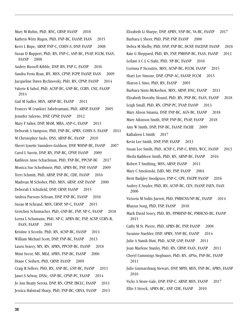Mary M Rubin, PhD, RNC, CRNP, FAANP 2010 Kathryn Wirtz Rugen, PhD, FNP-BC, FAANP, FAAN 2015 Kerri L Rupe, ARNP, FNP-C, COHN-S, DNP, FAANP 2008 Susan D Ruppert, PhD, RN, FNP-C, ANP-BC, FNAP, FCCM, FAAN, FAANP 2008 Audrey Russell-Kibble, DNP, RN, FNP-C, FAANP 2016 Sandra Festa Ryan, RN, MSN, CPNP, FCPP, FAANP, FAAN 2009 Jacqueline Dawn Rychnovsky, PhD, RN, CPNP, FAANP 2014 Valerie K Sabol, PhD, ACNP-BC, GNP-BC, CCRN, CNE, FAANP 2014 Gail M Sadler, MSN, ARNP-BC, FAANP 2011 Frances M (rankin) Sahebzamani, PhD, ARNP, FAANP 2005 Jennifer Salerno, DNP, CPNP, FAANP 2012 Mary F Salter, DNP, MAM, MBA, ANP-C, FAANP 2013 Deborah A Sampson, PhD, FNP-BC, APRN, COHN-S, FAANP 2011 M Christopher Saslo, DNS, ARNP-BC, FAANP 2010 Sherri Lynette Saunders-Goldson, DNP, WHNP-BC, FAANP 2007 Carol L Savrin, DNP, RN, FNP-BC, CPNP, FAANP 2009 Kathleen Anne Schachman, PhD, FNP-BC, PPCNP-BC 2017 Monica Sue Scheibmeir, PhD, APRN-BC, FNP, FAANP 2009 Terri Schmitt, PhD, ARNP, FNP-BC, CDE, FAANP 2016 Madrean M Schober, PhD, MSN, ARNP, ANP, FAANP 2000 Deborah L Schofield, DNP, CRNP, FAANP 2015 Andrea Parsons Schram, DNP, FNP-BC, FAANP 2016 Susan M Schrand, MSN, CRNP, NP-C, FAANP 2015 Gretchen Schumacher, PhD, GNP-BC, FNP, NP-C, FAANP 2018 Lorna L Schumann, PhD, NP-C, APRN-BC, FNP, ACNP, CCRN-R, FAAN, FAANP 2001 Kristine A Scordo, PhD, RN, ACNP-BC, FAANP 2011 William Michael Scott, DNP, FNP-BC, FAANP 2013 Laura Searcy, MN, RN, APRN, PPCNP-BC, FAANP 2018 Mimi Secor, MS, MEd, APRN, FNP-BC, FAANP 2006 Diane C Seibert, PhD, CRNP, FAANP 2009 Craig R Sellers, PhD, RN, ANP-BC, GNP-BC, FAANP 2013 Janet S Selway, DNSc, ANP-BC, CPNP-PC, FAANP 2014 Jo Ann Beatty Serota, DNP, RN, CPNP, IBCLC, FAANP 2013 Jessica Halstead Sharp, PhD, FNP-BC, CRNA, FAANP 2013

Elizabeth Li Sharpe, DNP, APRN, NNP-BC, VA-BC, FAANP 2017 Barbara L Sheer, PhD, PNP, FNP, FAANP 2000 Debra M Shelby, PhD, DNP, FNP-BC, DCNP, FACDNP, FAANP 2016 Kate G Sheppard, PhD, RN, FNP, PMHNP-BC, FAAN, FAANP 2012 Leilani A C L G Siaki, PhD, NP-BC, FAANP 2016 Corinna P Sicoutris, MSN, ACNP-BC, FCCM, FAANP 2015 Shari Lee Simone, DNP, CPNP-AC, FAANP, FCCM 2015 Sharon L Sims, PhD, RN, FAANP 2005 Barbara Sinni-McKeehen, MSN, ARNP, DNC, FAANP 2011 Elizabeth Dorothy Sloand, PhD, RN, PNP-BC, FAAN, FAANP 2018 Leigh Small, PhD, RN, CPNP-PC, FNAP, FAANP 2013 Mary Alison Smania, DNP, FNP-BC, AGN-BC, FAANP 2018 Mary Atkinson Smith, DNP, FNP-BC, FNAP, FAANP 2018 Amy W Smith, DNP, FNP-BC, FAANP, FACHE 2009 Kathaleen L Smith 2017 Kevin Lee Smith, DNP, FNP, FAANP 2013 Susan Lee Smith, PhD, ACNP-C, FNP-C, RNFA, WCC, FAANP 2013 Sheila Kathleen Smith, PhD, RN, ARNP-BC, FAANP 2016 Robert T Smithing, MSN, ARNP, FAANP 2011 Mary C Smolenski, EdD, MS, FNP, FAANP 2004 Brett Badgley Snodgrass, FNP-C, CPE, FACPP, FAANP 2016 Audrey E Snyder, PhD, RN, ACNP-BC, CEN, FAANP, FAEN, FAAN 2006 Victoria M Soltis-Jarrett, PhD, PMHCNS/NP-BC, FAANP 2014 Rhayun Song, PhD, FNP, FAANP 2018 Mark David Soucy, PhD, RN, FPMHNP-BC, PMHCNS-BC, FAANP 2015 Cathy M St. Pierre, PhD, APRN-BC, FNP, FAANP 2008 Suzanne Staebler, DNP, APRN, NNP-BC, FAANP 2014 Julie A Stanik-Hutt, PhD, ACNP, GNP, FAANP 2011 Joan Marlene Stanley, PhD, RN, CRNP, FAAN, FAANP 2011 Cheryl Cummings Stegbauer, PhD, RN, APNn, FNP-BC, FAANP 2011 Julie Gunnarshaug Stewart, DNP, MPH, MSN, FNP-BC, APRN, FAANP 2016 Vicky A Stone-Gale, DNP, FNP-C, ARNP, MSN, FAANP 2017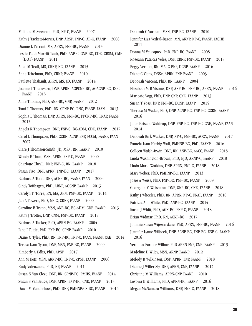Melinda M Swenson, PhD, NP-C, FAANP 2007 Kathy J Tackett-Morris, DNP, ARNP, FNP-C, AE-C, FAANP 2008 Dianne L Tarrant, MS, APRN, FNP-BC, FAANP 2015 Leslie-Faith Morritt Taub, PhD, ANP-C, GNP-BC, CDE, CBSM, CME (DOT) FAANP 2011 Alice M Teall, MS, CRNP, NC, FAANP 2015 Anne Teitelman, PhD, CRNP, FAANP 2010 Paulette Thabault, APRN, MS, JD, FAANP 2014 Joanne L Thanavaro, DNP, APRN, AGPCNP-BC, AGACNP-BC, DCC, FAANP 2013 Anne Thomas, PhD, ANP-BC, GNP, FAANP 2012 Tami L Thomas, PhD, RN, CPNP-PC, RNC, FAANP, FAAN 2013 Sophia L Thomas, DNP, APRN, FNP-BC, PPCNP-BC, FNAP, FAANP 2012 Angela R Thompson, DNP, FNP-C, BC-ADM, CDE, FAANP 2017 Carol L Thompson, PhD, CCRN, ACNP, FNP, FCCM, FAANP, FAAN 2007 Clare J Thomson-Smith, JD, MSN, RN, FAANP 2010 Wendy E Thon, MSN, APRN, FNP-C, FAANP 2000 Charlotte Thrall, DNP, FNP-C, RN, FAANP 2018 Susan Tiso, DNP, APRN, FNP-BC, FAANP 2017 Barbara A Todd, DNP, ACNP-BC, FAANP, FAAN 2006 Cindy Tofthagen, PhD, ARNP, AOCNP, FAANP 2013 Carolyn T. Torre, RN, MA, APN, PNP-BC, FAANP 2014 Jan A Towers, PhD, NP-C, CRNP, FAANP 2000 Caroline B Trapp, MSN, ANP-BC, BC-ADM, CDE, FAANP 2013 Kathy J Trotter, DNP, CNM, FNP-BC, FAANP 2015 Barbara A Tucker, PhD, APRN-BC, FAANP 2004 Jane I Tuttle, PhD, FNP-BC, CPNP, FAANP 2010 Diane O Tyler, PhD, RN, FNP-BC, FNP-C, FAAN, FAANP, CAE 2014 Teresa Lynn Tyson, DNP, MSN, FNP-BC, FAANP 2009 Kimberly A Udlis, PhD, APNP 2017 Ann M Uetz, MSN, ARNP-BC, FNP-C, cPNP, FAANP 2006 Rudy Valenzuela, PhD, NP, FAANP 2011 Susan N Van Cleve, DNP, RN, CPNP-PC, PMHS, FAANP 2014 Susan S VanBeuge, DNP, APRN, FNP-BC, CNE, FAANP 2013 Dawn M Vanderhoef, PhD, DNP, PMHNP/CS-BC, FAANP 2016

Deborah C Varnam, MSN, FNP-BC, FAANP 2010 Jennifer Lisa Vedral-Baron, MN, ARNP, NP-C, FAANP, FACHE 2011 Donna M Velasquez, PhD, FNP-BC, FAANP 2008 Roseann Patricia Velez, DNP, CRNP, FNP-BC, FAANP 2017 Peggy Vernon, RN, MA, C-PNP, DCNP, FAANP 2016 Diane C Viens, DNSc, APRN, FNP, FAANP 2003 Deborah Vincent, PhD, RN, FAANP 2004 Elizabeth M B Visone, DNP, ANP-BC, FNP-BC, APRN, FAANP 2016 Marjorie Vogt, PhD, DNP, CNP, CNE, FAANP 2013 Susan T Voss, DNP, FNP-BC, DCNP, FAANP 2015 Theresa M Wadas, PhD, DNP, ACNP-BC, FNP-BC, CCRN, FAANP 2016 Julee Briscoe Waldrop, DNP, PNP-BC, FNP-BC, CNE, FAANP, FAAN 2014 Deborah Kirk Walker, DNP, NP-C, FNP-BC, AOCN, FAANP 2017 Pamela Lynn Herbig Wall, PMHNP-BC, PhD, FAANP 2016 Colleen Walsh-Irwin, DNP, RN, ANP-BC, AACC, FAANP 2018 Linda Washington-Brown, PhD, EJD, ARNP-C, FAANP 2018 Linda Marie Watkins, DNP, APRN, FNP-C, FAANP 2018 Mary Weber, PhD, PMHNP-BC, FAANP 2013 Josie A Weiss, PhD, FNP-BC, PNP-BC, FAANP 2009 Georgann V. Weissman, DNP, GNP-BC, CNE, FAANP 2018 Kathy J Wheeler, PhD, RN, APRN, NP-C, FNAP, FAANP 2010 Patricia Ann White, PhD, ANP-BC, FAANP 2014 Karen J Whitt, PhD, AGN-BC, FNP-C, FAANP 2018 Brian Widmar, PhD, RN, ACNP-BC 2017 Johnnie Susan Wijewardane, PhD, APRN, FNP-BC, FAANP 2016 Jennifer Lynne Wilbeck, DNP, ACNP-BC, FNP-BC, ENP-C, FAANP 2016 Veronica Farmer Wilbur, PhD APRN-FNP, CNE, FAANP 2013 Madeline D Wiley, MSN, ARNP, FAANP 2012 Melody R Wilkinson, DNP, APRN, FNP, FAANP 2018 Dianne J Willer-Sly, DNP, APRN, CNP, FAANP 2017 Christine M Williams, APRN-CNP, FAANP 2010 Lovoria B Williams, PhD, APRN-BC, FAANP 2016 Megan McNamara Williams, DNP, FNP-C, FAANP 2018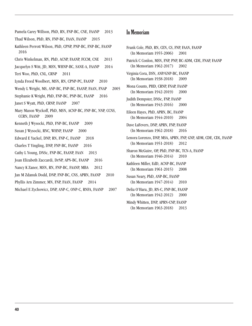Pamela Carey Willson, PhD, RN, FNP-BC, CNE, FAANP 2013 Thad Wilson, PhD, RN, FNP-BC, FAAN, FAANP 2015 Kathleen Perrott Wilson, PhD, CPNP, PNP-BC, FNP-BC, FAANP 2016 Chris Winkelman, RN, PhD, ACNP, FAANP, FCCM, CNE 2013 Jacquelyn S Witt, JD, MSN, WHNP-BC, SANE-A, FAANP 2014 Teri Woo, PhD, CNL, CRNP 2011 Lynda Freed Woolbert, MSN, RN, CPNP-PC, FAANP 2010 Wendy L Wright, MS, ANP-BC, FNP-BC, FAANP, FAAN, FNAP 2005 Stephanie K Wright, PhD, FNP-BC, PNP-BC, FAANP 2016 Janet S Wyatt, PhD, CRNP, FAANP 2007 Mary Mason Wyckoff, PhD, MSN, ACNP-BC, FNP-BC, NNP, CCNS, CCRN, FAANP 2009 Kenneth J Wysocki, PhD, FNP-BC, FAANP 2009 Susan J Wysocki, RNC, WHNP, FAANP 2000 Edward E Yackel, DNP, RN, FNP-C, FAANP 2018 Charles T Yingling, DNP, FNP-BC, FAANP 2016 Cathy L Young, DNSc, FNP-BC, FAANP, FAAN 2013 Joan Elizabeth Zaccardi, DrNP, APN-BC, FAANP 2016 Nancy K Zaner, MSN, RN, FNP-BC, FAANP, MBA 2012 Jan M Zdanuk Dodd, DNP, FNP-BC, CNS, APRN, FAANP 2010 Phyllis Arn Zimmer, MN, FNP, FAAN, FAANP 2014 Michael E Zychowicz, DNP, ANP-C, ONP-C, RNFA, FAANP 2007

#### In Memoriam

Frank Cole, PhD, RN, CEN, CS, FNP, FAAN, FAANP (In Memoriam 1955-2006) 2001 Patrick C Conlon, MSN, FNP, PNP, BC-ADM, CDE, FNAP, FAANP (In Memoriam 1962-2017) 2002 Virginia Cora, DSN, ANP/GNP-BC, FAANP (In Memoriam 1938-2018) 2009 Mona Counts, PHD, CRNP, FNAP, FAANP (In Memoriam 1942-2019) 2000 Judith Dempster, DNSc, FNP, FAANP (In Memoriam 1943-2016) 2000 Eileen Hayes, PhD, APRN, BC, FAANP (In Memoriam 1944-2010) 2004 Dave LaFevers, DNP, APRN, FNP, FAANP (In Memoriam 1962-2018) 2016 Lenora Lorenzo, DNP, MSA, APRN, FNP, GNP, ADM, CDE, CDL, FAANP (In Memoriam 1951-2018) 2012 Sharon McGuire, OP, PhD, FNP-BC, TCN-A, FAANP (In Memoriam 1946-2014) 2010 Kathleen Miller, EdD, ACNP-BC, FAANP (In Memoriam 1961-2015) 2008 Susan Neary, PhD, ANP-BC, FAANP (In Memoriam 1947-2014) 2010 Delia O'Hara, JD, RN-C, FNP-BC, FAANP (In Memoriam 1942-2012) 2000 Mindy Whitten, DNP, APRN-CNP, FAANP (In Memoriam 1963-2018) 2013